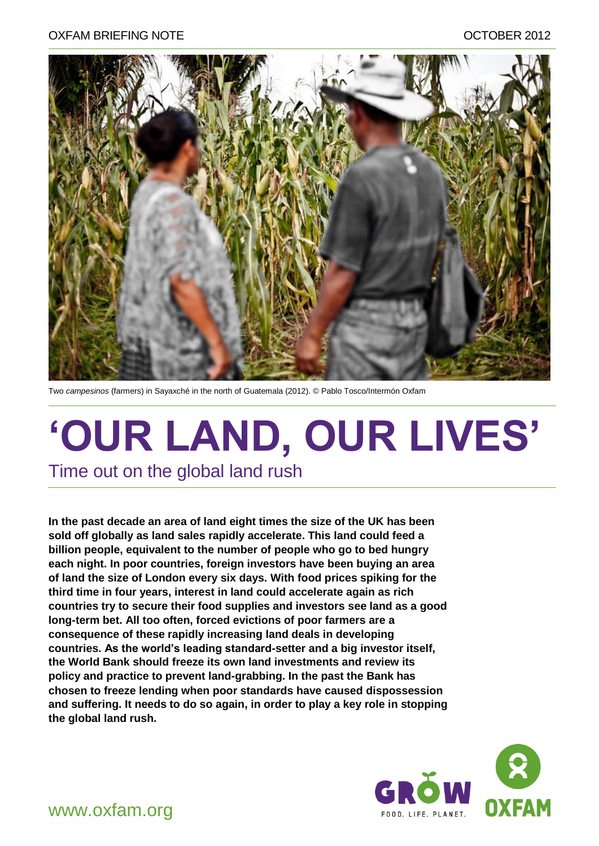

Two *campesinos* (farmers) in Sayaxché in the north of Guatemala (2012). © Pablo Tosco/Intermón Oxfam

# **'OUR LAND, OUR LIVES'** Time out on the global land rush

**In the past decade an area of land eight times the size of the UK has been sold off globally as land sales rapidly accelerate. This land could feed a billion people, equivalent to the number of people who go to bed hungry each night. In poor countries, foreign investors have been buying an area of land the size of London every six days. With food prices spiking for the third time in four years, interest in land could accelerate again as rich countries try to secure their food supplies and investors see land as a good long-term bet. All too often, forced evictions of poor farmers are a consequence of these rapidly increasing land deals in developing countries. As the world's leading standard-setter and a big investor itself, the World Bank should freeze its own land investments and review its policy and practice to prevent land-grabbing. In the past the Bank has chosen to freeze lending when poor standards have caused dispossession and suffering. It needs to do so again, in order to play a key role in stopping the global land rush.**

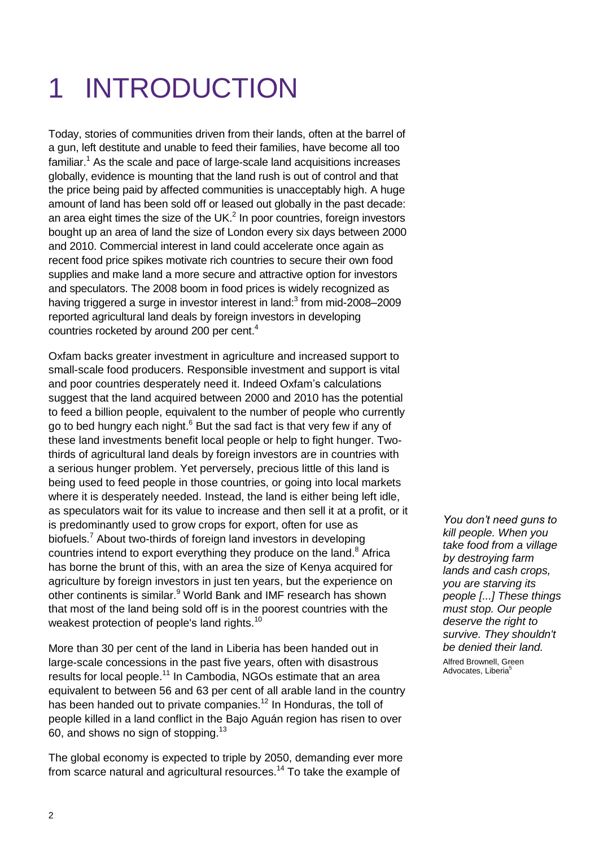# 1 INTRODUCTION

Today, stories of communities driven from their lands, often at the barrel of a gun, left destitute and unable to feed their families, have become all too familiar.<sup>1</sup> As the scale and pace of large-scale land acquisitions increases globally, evidence is mounting that the land rush is out of control and that the price being paid by affected communities is unacceptably high. A huge amount of land has been sold off or leased out globally in the past decade: an area eight times the size of the UK. $<sup>2</sup>$  In poor countries, foreign investors</sup> bought up an area of land the size of London every six days between 2000 and 2010. Commercial interest in land could accelerate once again as recent food price spikes motivate rich countries to secure their own food supplies and make land a more secure and attractive option for investors and speculators. The 2008 boom in food prices is widely recognized as having triggered a surge in investor interest in land:<sup>3</sup> from mid-2008–2009 reported agricultural land deals by foreign investors in developing countries rocketed by around 200 per cent. 4

Oxfam backs greater investment in agriculture and increased support to small-scale food producers. Responsible investment and support is vital and poor countries desperately need it. Indeed Oxfam"s calculations suggest that the land acquired between 2000 and 2010 has the potential to feed a billion people, equivalent to the number of people who currently go to bed hungry each night.<sup>6</sup> But the sad fact is that very few if any of these land investments benefit local people or help to fight hunger. Twothirds of agricultural land deals by foreign investors are in countries with a serious hunger problem. Yet perversely, precious little of this land is being used to feed people in those countries, or going into local markets where it is desperately needed. Instead, the land is either being left idle, as speculators wait for its value to increase and then sell it at a profit, or it is predominantly used to grow crops for export, often for use as biofuels.<sup>7</sup> About two-thirds of foreign land investors in developing countries intend to export everything they produce on the land.<sup>8</sup> Africa has borne the brunt of this, with an area the size of Kenya acquired for agriculture by foreign investors in just ten years, but the experience on other continents is similar.<sup>9</sup> World Bank and IMF research has shown that most of the land being sold off is in the poorest countries with the weakest protection of people's land rights.<sup>10</sup>

More than 30 per cent of the land in Liberia has been handed out in large-scale concessions in the past five years, often with disastrous results for local people.<sup>11</sup> In Cambodia, NGOs estimate that an area equivalent to between 56 and 63 per cent of all arable land in the country has been handed out to private companies.<sup>12</sup> In Honduras, the toll of people killed in a land conflict in the Bajo Aguán region has risen to over 60, and shows no sign of stopping.<sup>13</sup>

The global economy is expected to triple by 2050, demanding ever more from scarce natural and agricultural resources.<sup>14</sup> To take the example of

*You don't need guns to kill people. When you take food from a village by destroying farm lands and cash crops, you are starving its people [...] These things must stop. Our people deserve the right to survive. They shouldn't be denied their land.* 

Alfred Brownell, Green Advocates, Liberia<sup>5</sup>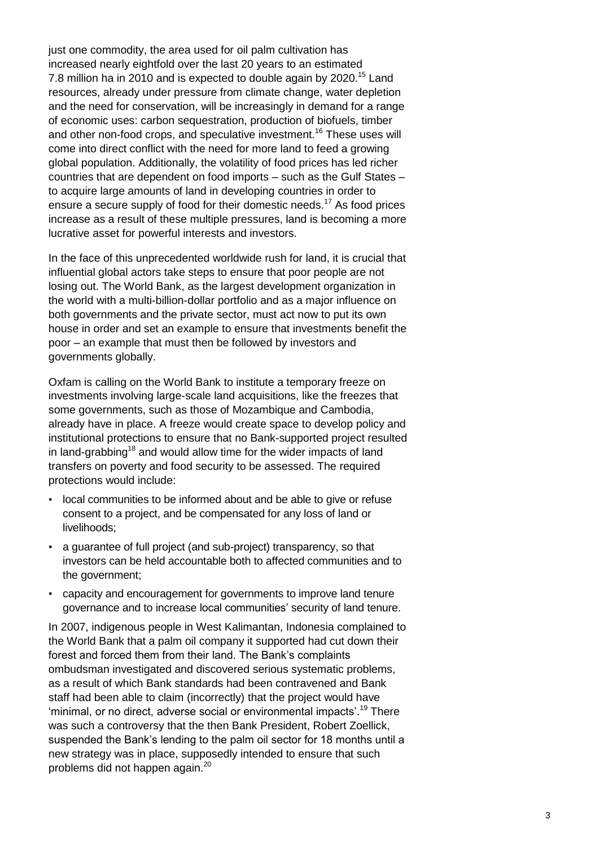just one commodity, the area used for oil palm cultivation has increased nearly eightfold over the last 20 years to an estimated 7.8 million ha in 2010 and is expected to double again by 2020.<sup>15</sup> Land resources, already under pressure from climate change, water depletion and the need for conservation, will be increasingly in demand for a range of economic uses: carbon sequestration, production of biofuels, timber and other non-food crops, and speculative investment.<sup>16</sup> These uses will come into direct conflict with the need for more land to feed a growing global population. Additionally, the volatility of food prices has led richer countries that are dependent on food imports – such as the Gulf States – to acquire large amounts of land in developing countries in order to ensure a secure supply of food for their domestic needs.<sup>17</sup> As food prices increase as a result of these multiple pressures, land is becoming a more lucrative asset for powerful interests and investors.

In the face of this unprecedented worldwide rush for land, it is crucial that influential global actors take steps to ensure that poor people are not losing out. The World Bank, as the largest development organization in the world with a multi-billion-dollar portfolio and as a major influence on both governments and the private sector, must act now to put its own house in order and set an example to ensure that investments benefit the poor – an example that must then be followed by investors and governments globally.

Oxfam is calling on the World Bank to institute a temporary freeze on investments involving large-scale land acquisitions, like the freezes that some governments, such as those of Mozambique and Cambodia, already have in place. A freeze would create space to develop policy and institutional protections to ensure that no Bank-supported project resulted in land-grabbing<sup>18</sup> and would allow time for the wider impacts of land transfers on poverty and food security to be assessed. The required protections would include:

- local communities to be informed about and be able to give or refuse consent to a project, and be compensated for any loss of land or livelihoods;
- a guarantee of full project (and sub-project) transparency, so that investors can be held accountable both to affected communities and to the government;
- capacity and encouragement for governments to improve land tenure governance and to increase local communities" security of land tenure.

In 2007, indigenous people in West Kalimantan, Indonesia complained to the World Bank that a palm oil company it supported had cut down their forest and forced them from their land. The Bank"s complaints ombudsman investigated and discovered serious systematic problems, as a result of which Bank standards had been contravened and Bank staff had been able to claim (incorrectly) that the project would have 'minimal, or no direct, adverse social or environmental impacts'.<sup>19</sup> There was such a controversy that the then Bank President, Robert Zoellick, suspended the Bank"s lending to the palm oil sector for 18 months until a new strategy was in place, supposedly intended to ensure that such problems did not happen again.<sup>20</sup>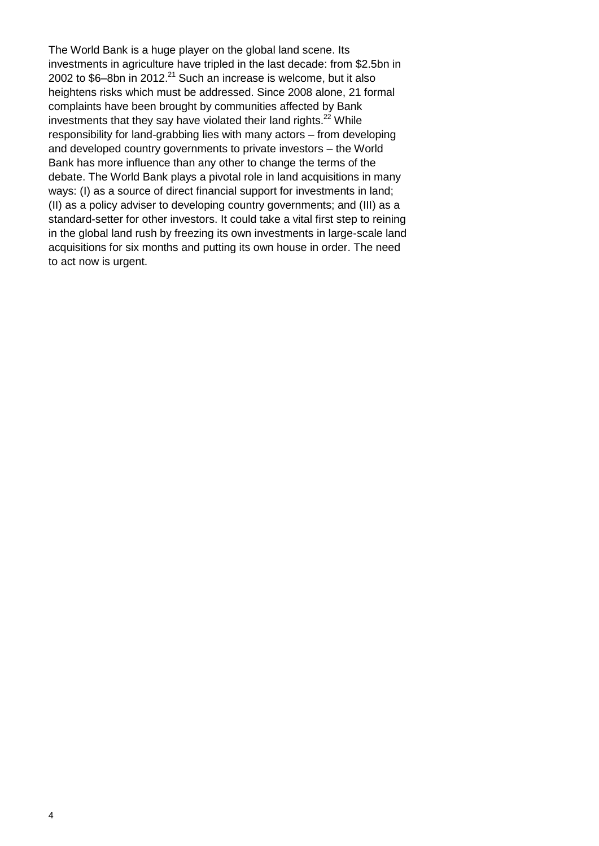The World Bank is a huge player on the global land scene. Its investments in agriculture have tripled in the last decade: from \$2.5bn in 2002 to \$6–8bn in 2012.<sup>21</sup> Such an increase is welcome, but it also heightens risks which must be addressed. Since 2008 alone, 21 formal complaints have been brought by communities affected by Bank investments that they say have violated their land rights.<sup>22</sup> While responsibility for land-grabbing lies with many actors – from developing and developed country governments to private investors – the World Bank has more influence than any other to change the terms of the debate. The World Bank plays a pivotal role in land acquisitions in many ways: (I) as a source of direct financial support for investments in land; (II) as a policy adviser to developing country governments; and (III) as a standard-setter for other investors. It could take a vital first step to reining in the global land rush by freezing its own investments in large-scale land acquisitions for six months and putting its own house in order. The need to act now is urgent.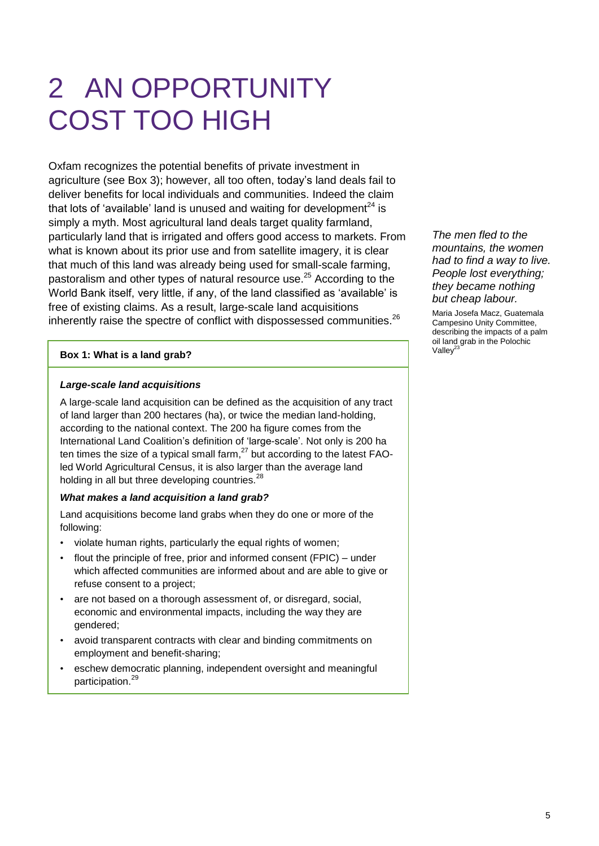# 2 AN OPPORTUNITY COST TOO HIGH

Oxfam recognizes the potential benefits of private investment in agriculture (see Box 3); however, all too often, today"s land deals fail to deliver benefits for local individuals and communities. Indeed the claim that lots of 'available' land is unused and waiting for development $^{24}$  is simply a myth. Most agricultural land deals target quality farmland, particularly land that is irrigated and offers good access to markets. From what is known about its prior use and from satellite imagery, it is clear that much of this land was already being used for small-scale farming, pastoralism and other types of natural resource use.<sup>25</sup> According to the World Bank itself, very little, if any, of the land classified as "available" is free of existing claims. As a result, large-scale land acquisitions inherently raise the spectre of conflict with dispossessed communities.<sup>26</sup>

#### **Box 1: What is a land grab?**

#### *Large-scale land acquisitions*

A large-scale land acquisition can be defined as the acquisition of any tract of land larger than 200 hectares (ha), or twice the median land-holding, according to the national context. The 200 ha figure comes from the International Land Coalition's definition of 'large-scale'. Not only is 200 ha ten times the size of a typical small farm, $^{27}$  but according to the latest FAOled World Agricultural Census, it is also larger than the average land holding in all but three developing countries. $^{28}$ 

#### *What makes a land acquisition a land grab?*

Land acquisitions become land grabs when they do one or more of the following:

- violate human rights, particularly the equal rights of women;
- flout the principle of free, prior and informed consent (FPIC) under which affected communities are informed about and are able to give or refuse consent to a project;
- are not based on a thorough assessment of, or disregard, social, economic and environmental impacts, including the way they are gendered;
- avoid transparent contracts with clear and binding commitments on employment and benefit-sharing;
- eschew democratic planning, independent oversight and meaningful participation.<sup>29</sup>

*The men fled to the mountains, the women had to find a way to live. People lost everything; they became nothing but cheap labour.*

Maria Josefa Macz, Guatemala Campesino Unity Committee, describing the impacts of a palm oil land grab in the Polochic Valle $v^2$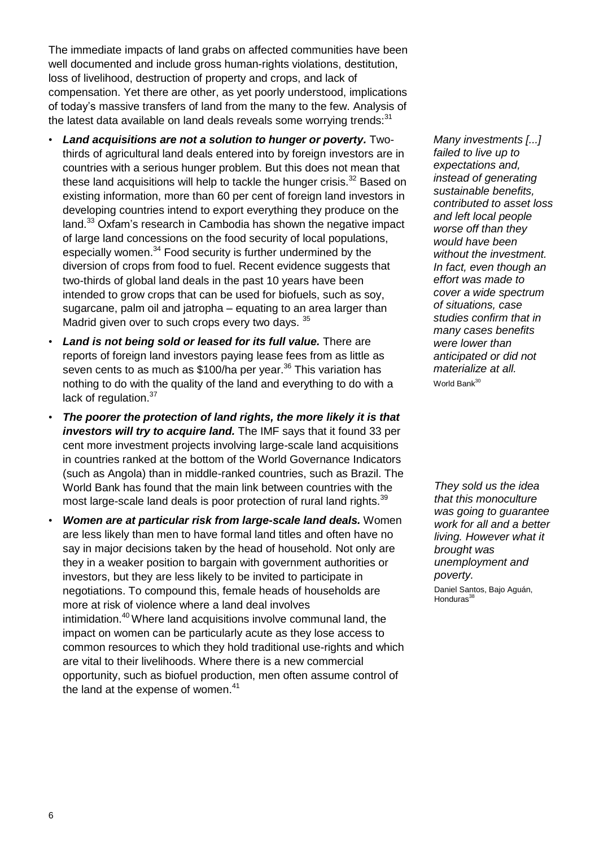The immediate impacts of land grabs on affected communities have been well documented and include gross human-rights violations, destitution, loss of livelihood, destruction of property and crops, and lack of compensation. Yet there are other, as yet poorly understood, implications of today"s massive transfers of land from the many to the few. Analysis of the latest data available on land deals reveals some worrying trends: $31$ 

- *Land acquisitions are not a solution to hunger or poverty.* Twothirds of agricultural land deals entered into by foreign investors are in countries with a serious hunger problem. But this does not mean that these land acquisitions will help to tackle the hunger crisis. $32$  Based on existing information, more than 60 per cent of foreign land investors in developing countries intend to export everything they produce on the land.<sup>33</sup> Oxfam's research in Cambodia has shown the negative impact of large land concessions on the food security of local populations, especially women.<sup>34</sup> Food security is further undermined by the diversion of crops from food to fuel. Recent evidence suggests that two-thirds of global land deals in the past 10 years have been intended to grow crops that can be used for biofuels, such as soy, sugarcane, palm oil and jatropha – equating to an area larger than Madrid given over to such crops every two days. 35
- *Land is not being sold or leased for its full value.* There are reports of foreign land investors paying lease fees from as little as seven cents to as much as \$100/ha per year.<sup>36</sup> This variation has nothing to do with the quality of the land and everything to do with a lack of regulation.<sup>37</sup>
- *The poorer the protection of land rights, the more likely it is that investors will try to acquire land.* The IMF says that it found 33 per cent more investment projects involving large-scale land acquisitions in countries ranked at the bottom of the World Governance Indicators (such as Angola) than in middle-ranked countries, such as Brazil. The World Bank has found that the main link between countries with the most large-scale land deals is poor protection of rural land rights.<sup>39</sup>
- *Women are at particular risk from large-scale land deals.* Women are less likely than men to have formal land titles and often have no say in major decisions taken by the head of household. Not only are they in a weaker position to bargain with government authorities or investors, but they are less likely to be invited to participate in negotiations. To compound this, female heads of households are more at risk of violence where a land deal involves intimidation.<sup>40</sup> Where land acquisitions involve communal land, the impact on women can be particularly acute as they lose access to common resources to which they hold traditional use-rights and which are vital to their livelihoods. Where there is a new commercial opportunity, such as biofuel production, men often assume control of the land at the expense of women. $41$

*Many investments [...] failed to live up to expectations and, instead of generating sustainable benefits, contributed to asset loss and left local people worse off than they would have been without the investment. In fact, even though an effort was made to cover a wide spectrum of situations, case studies confirm that in many cases benefits were lower than anticipated or did not materialize at all.*  World Bank<sup>30</sup>

*They sold us the idea that this monoculture was going to guarantee work for all and a better living. However what it brought was unemployment and poverty.*

Daniel Santos, Bajo Aguán, Honduras<sup>36</sup>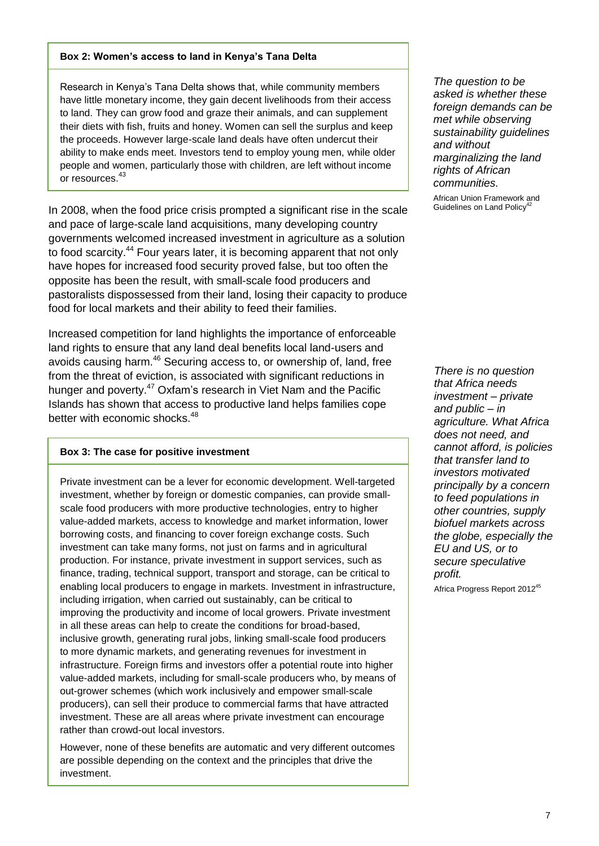#### **Box 2: Women's access to land in Kenya's Tana Delta**

Research in Kenya"s Tana Delta shows that, while community members have little monetary income, they gain decent livelihoods from their access to land. They can grow food and graze their animals, and can supplement their diets with fish, fruits and honey. Women can sell the surplus and keep the proceeds. However large-scale land deals have often undercut their ability to make ends meet. Investors tend to employ young men, while older people and women, particularly those with children, are left without income or resources.<sup>43</sup>

In 2008, when the food price crisis prompted a significant rise in the scale and pace of large-scale land acquisitions, many developing country governments welcomed increased investment in agriculture as a solution to food scarcity.<sup>44</sup> Four years later, it is becoming apparent that not only have hopes for increased food security proved false, but too often the opposite has been the result, with small-scale food producers and pastoralists dispossessed from their land, losing their capacity to produce food for local markets and their ability to feed their families.

Increased competition for land highlights the importance of enforceable land rights to ensure that any land deal benefits local land-users and avoids causing harm.<sup>46</sup> Securing access to, or ownership of, land, free from the threat of eviction, is associated with significant reductions in hunger and poverty.<sup>47</sup> Oxfam's research in Viet Nam and the Pacific Islands has shown that access to productive land helps families cope better with economic shocks.<sup>48</sup>

#### **Box 3: The case for positive investment**

Private investment can be a lever for economic development. Well-targeted investment, whether by foreign or domestic companies, can provide smallscale food producers with more productive technologies, entry to higher value-added markets, access to knowledge and market information, lower borrowing costs, and financing to cover foreign exchange costs. Such investment can take many forms, not just on farms and in agricultural production. For instance, private investment in support services, such as finance, trading, technical support, transport and storage, can be critical to enabling local producers to engage in markets. Investment in infrastructure, including irrigation, when carried out sustainably, can be critical to improving the productivity and income of local growers. Private investment in all these areas can help to create the conditions for broad-based, inclusive growth, generating rural jobs, linking small-scale food producers to more dynamic markets, and generating revenues for investment in infrastructure. Foreign firms and investors offer a potential route into higher value-added markets, including for small-scale producers who, by means of out-grower schemes (which work inclusively and empower small-scale producers), can sell their produce to commercial farms that have attracted investment. These are all areas where private investment can encourage rather than crowd-out local investors.

However, none of these benefits are automatic and very different outcomes are possible depending on the context and the principles that drive the investment.

*The question to be asked is whether these foreign demands can be met while observing sustainability guidelines and without marginalizing the land rights of African communities.*

African Union Framework and Guidelines on Land Policy<sup>4</sup>

*There is no question that Africa needs investment – private and public – in agriculture. What Africa does not need, and cannot afford, is policies that transfer land to investors motivated principally by a concern to feed populations in other countries, supply biofuel markets across the globe, especially the EU and US, or to secure speculative profit.*

Africa Progress Report 2012<sup>45</sup>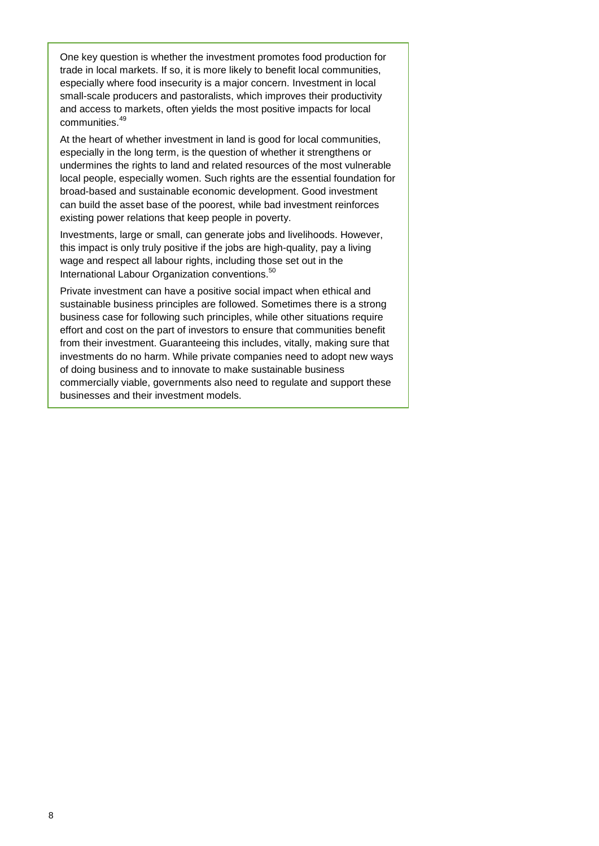One key question is whether the investment promotes food production for trade in local markets. If so, it is more likely to benefit local communities, especially where food insecurity is a major concern. Investment in local small-scale producers and pastoralists, which improves their productivity and access to markets, often yields the most positive impacts for local communities.<sup>49</sup>

At the heart of whether investment in land is good for local communities, especially in the long term, is the question of whether it strengthens or undermines the rights to land and related resources of the most vulnerable local people, especially women. Such rights are the essential foundation for broad-based and sustainable economic development. Good investment can build the asset base of the poorest, while bad investment reinforces existing power relations that keep people in poverty.

Investments, large or small, can generate jobs and livelihoods. However, this impact is only truly positive if the jobs are high-quality, pay a living wage and respect all labour rights, including those set out in the International Labour Organization conventions.<sup>50</sup>

Private investment can have a positive social impact when ethical and sustainable business principles are followed. Sometimes there is a strong business case for following such principles, while other situations require effort and cost on the part of investors to ensure that communities benefit from their investment. Guaranteeing this includes, vitally, making sure that investments do no harm. While private companies need to adopt new ways of doing business and to innovate to make sustainable business commercially viable, governments also need to regulate and support these businesses and their investment models.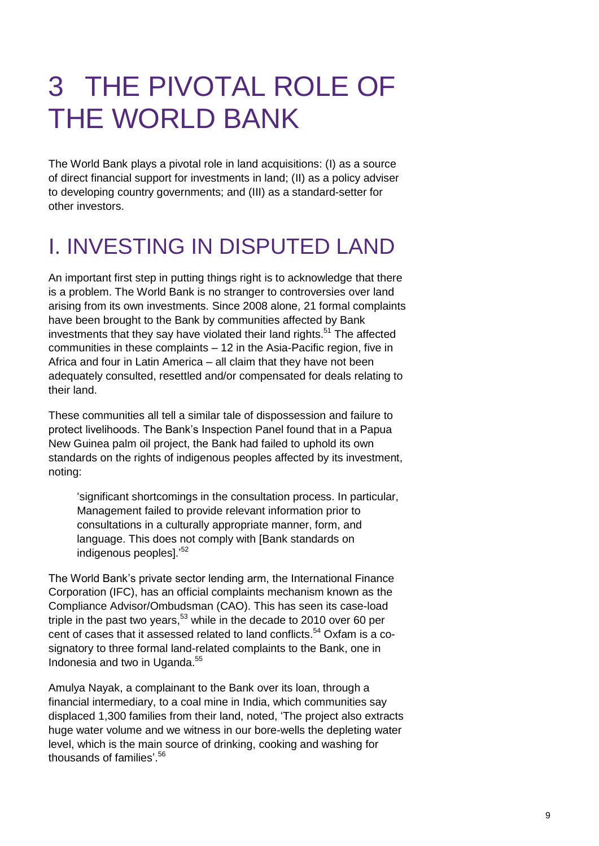# 3 THE PIVOTAL ROLE OF THE WORLD BANK

The World Bank plays a pivotal role in land acquisitions: (I) as a source of direct financial support for investments in land; (II) as a policy adviser to developing country governments; and (III) as a standard-setter for other investors.

## I. INVESTING IN DISPUTED LAND

An important first step in putting things right is to acknowledge that there is a problem. The World Bank is no stranger to controversies over land arising from its own investments. Since 2008 alone, 21 formal complaints have been brought to the Bank by communities affected by Bank investments that they say have violated their land rights.<sup>51</sup> The affected communities in these complaints – 12 in the Asia-Pacific region, five in Africa and four in Latin America – all claim that they have not been adequately consulted, resettled and/or compensated for deals relating to their land.

These communities all tell a similar tale of dispossession and failure to protect livelihoods. The Bank"s Inspection Panel found that in a Papua New Guinea palm oil project, the Bank had failed to uphold its own standards on the rights of indigenous peoples affected by its investment, noting:

"significant shortcomings in the consultation process. In particular, Management failed to provide relevant information prior to consultations in a culturally appropriate manner, form, and language. This does not comply with [Bank standards on indigenous peoples].'<sup>52</sup>

The World Bank"s private sector lending arm, the International Finance Corporation (IFC), has an official complaints mechanism known as the Compliance Advisor/Ombudsman (CAO). This has seen its case-load triple in the past two years,<sup>53</sup> while in the decade to 2010 over 60 per cent of cases that it assessed related to land conflicts. <sup>54</sup> Oxfam is a cosignatory to three formal land-related complaints to the Bank, one in Indonesia and two in Uganda. 55

Amulya Nayak, a complainant to the Bank over its loan, through a financial intermediary, to a coal mine in India, which communities say displaced 1,300 families from their land, noted, "The project also extracts huge water volume and we witness in our bore-wells the depleting water level, which is the main source of drinking, cooking and washing for thousands of families'.<sup>56</sup>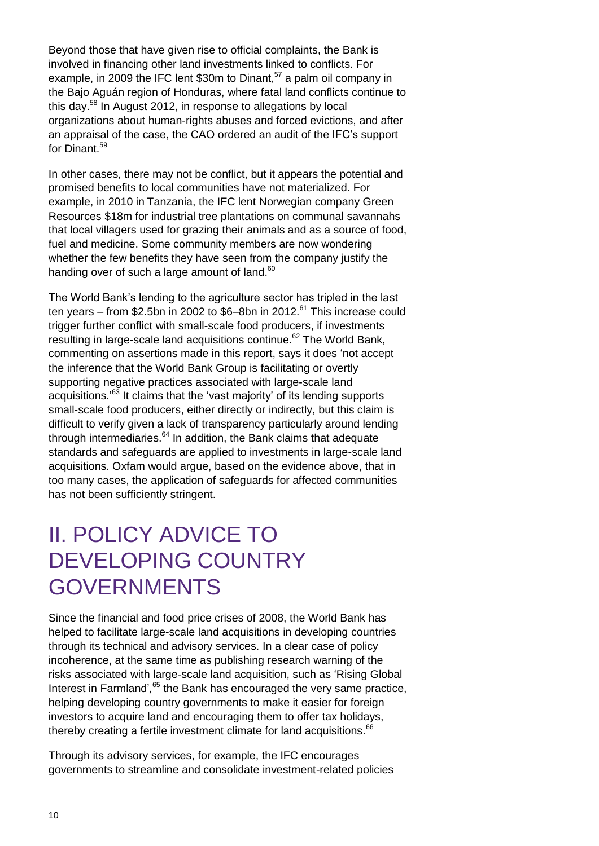Beyond those that have given rise to official complaints, the Bank is involved in financing other land investments linked to conflicts. For example, in 2009 the IFC lent \$30m to Dinant,<sup>57</sup> a palm oil company in the Bajo Aguán region of Honduras, where fatal land conflicts continue to this day.<sup>58</sup> In August 2012, in response to allegations by local organizations about human-rights abuses and forced evictions, and after an appraisal of the case, the CAO ordered an audit of the IFC"s support for Dinant.<sup>59</sup>

In other cases, there may not be conflict, but it appears the potential and promised benefits to local communities have not materialized. For example, in 2010 in Tanzania, the IFC lent Norwegian company Green Resources \$18m for industrial tree plantations on communal savannahs that local villagers used for grazing their animals and as a source of food, fuel and medicine. Some community members are now wondering whether the few benefits they have seen from the company justify the handing over of such a large amount of land.<sup>60</sup>

The World Bank"s lending to the agriculture sector has tripled in the last ten years – from \$2.5bn in 2002 to \$6–8bn in 2012.<sup>61</sup> This increase could trigger further conflict with small-scale food producers, if investments resulting in large-scale land acquisitions continue.<sup>62</sup> The World Bank, commenting on assertions made in this report, says it does "not accept the inference that the World Bank Group is facilitating or overtly supporting negative practices associated with large-scale land acquisitions.'<sup>63</sup> It claims that the 'vast majority' of its lending supports small-scale food producers, either directly or indirectly, but this claim is difficult to verify given a lack of transparency particularly around lending through intermediaries.<sup>64</sup> In addition, the Bank claims that adequate standards and safeguards are applied to investments in large-scale land acquisitions. Oxfam would argue, based on the evidence above, that in too many cases, the application of safeguards for affected communities has not been sufficiently stringent.

## II. POLICY ADVICE TO DEVELOPING COUNTRY GOVERNMENTS

Since the financial and food price crises of 2008, the World Bank has helped to facilitate large-scale land acquisitions in developing countries through its technical and advisory services. In a clear case of policy incoherence, at the same time as publishing research warning of the risks associated with large-scale land acquisition, such as "Rising Global Interest in Farmland',<sup>65</sup> the Bank has encouraged the very same practice, helping developing country governments to make it easier for foreign investors to acquire land and encouraging them to offer tax holidays, thereby creating a fertile investment climate for land acquisitions.<sup>66</sup>

Through its advisory services, for example, the IFC encourages governments to streamline and consolidate investment-related policies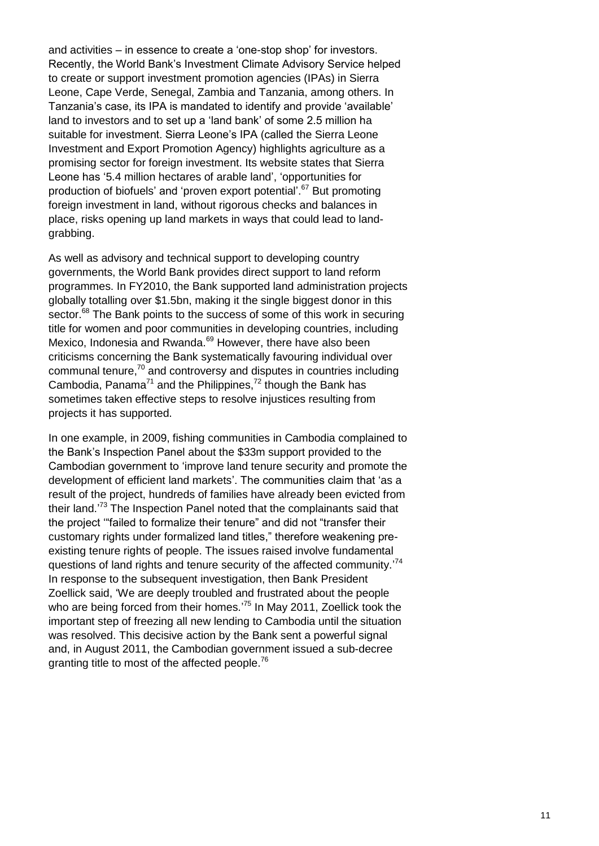and activities – in essence to create a "one-stop shop" for investors. Recently, the World Bank"s Investment Climate Advisory Service helped to create or support investment promotion agencies (IPAs) in Sierra Leone, Cape Verde, Senegal, Zambia and Tanzania, among others. In Tanzania"s case, its IPA is mandated to identify and provide "available" land to investors and to set up a "land bank" of some 2.5 million ha suitable for investment. Sierra Leone"s IPA (called the Sierra Leone Investment and Export Promotion Agency) highlights agriculture as a promising sector for foreign investment. Its website states that Sierra Leone has "5.4 million hectares of arable land", "opportunities for production of biofuels' and 'proven export potential'.<sup>67</sup> But promoting foreign investment in land, without rigorous checks and balances in place, risks opening up land markets in ways that could lead to landgrabbing.

As well as advisory and technical support to developing country governments, the World Bank provides direct support to land reform programmes. In FY2010, the Bank supported land administration projects globally totalling over \$1.5bn, making it the single biggest donor in this sector.<sup>68</sup> The Bank points to the success of some of this work in securing title for women and poor communities in developing countries, including Mexico, Indonesia and Rwanda.<sup>69</sup> However, there have also been criticisms concerning the Bank systematically favouring individual over communal tenure,<sup>70</sup> and controversy and disputes in countries including Cambodia, Panama<sup>71</sup> and the Philippines,<sup>72</sup> though the Bank has sometimes taken effective steps to resolve injustices resulting from projects it has supported.

In one example, in 2009, fishing communities in Cambodia complained to the Bank"s Inspection Panel about the \$33m support provided to the Cambodian government to "improve land tenure security and promote the development of efficient land markets'. The communities claim that 'as a result of the project, hundreds of families have already been evicted from their land.<sup>73</sup> The Inspection Panel noted that the complainants said that the project ""failed to formalize their tenure" and did not "transfer their customary rights under formalized land titles," therefore weakening preexisting tenure rights of people. The issues raised involve fundamental questions of land rights and tenure security of the affected community.'<sup>74</sup> In response to the subsequent investigation, then Bank President Zoellick said, "We are deeply troubled and frustrated about the people who are being forced from their homes.<sup>75</sup> In May 2011, Zoellick took the important step of freezing all new lending to Cambodia until the situation was resolved. This decisive action by the Bank sent a powerful signal and, in August 2011, the Cambodian government issued a sub-decree granting title to most of the affected people.<sup>76</sup>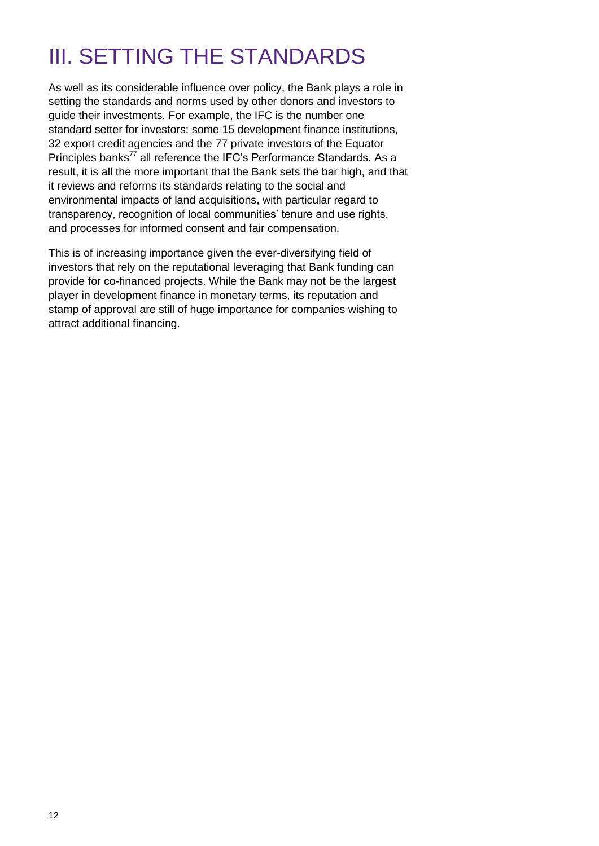## III. SETTING THE STANDARDS

As well as its considerable influence over policy, the Bank plays a role in setting the standards and norms used by other donors and investors to guide their investments. For example, the IFC is the number one standard setter for investors: some 15 development finance institutions, 32 export credit agencies and the 77 private investors of the Equator Principles banks<sup>77</sup> all reference the IFC's Performance Standards. As a result, it is all the more important that the Bank sets the bar high, and that it reviews and reforms its standards relating to the social and environmental impacts of land acquisitions, with particular regard to transparency, recognition of local communities' tenure and use rights, and processes for informed consent and fair compensation.

This is of increasing importance given the ever-diversifying field of investors that rely on the reputational leveraging that Bank funding can provide for co-financed projects. While the Bank may not be the largest player in development finance in monetary terms, its reputation and stamp of approval are still of huge importance for companies wishing to attract additional financing.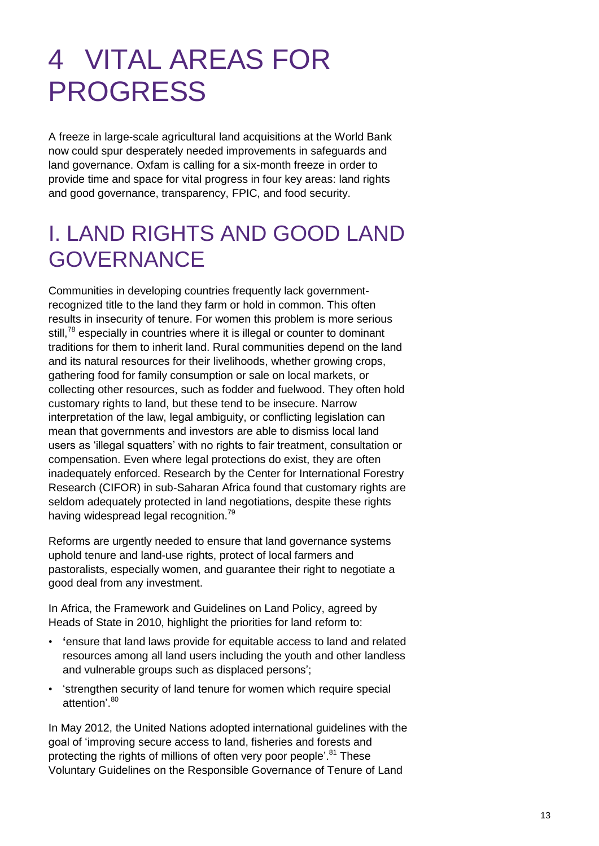# 4 VITAL AREAS FOR PROGRESS

A freeze in large-scale agricultural land acquisitions at the World Bank now could spur desperately needed improvements in safeguards and land governance. Oxfam is calling for a six-month freeze in order to provide time and space for vital progress in four key areas: land rights and good governance, transparency, FPIC, and food security.

## I. LAND RIGHTS AND GOOD LAND GOVERNANCE

Communities in developing countries frequently lack governmentrecognized title to the land they farm or hold in common. This often results in insecurity of tenure. For women this problem is more serious still,<sup>78</sup> especially in countries where it is illegal or counter to dominant traditions for them to inherit land. Rural communities depend on the land and its natural resources for their livelihoods, whether growing crops, gathering food for family consumption or sale on local markets, or collecting other resources, such as fodder and fuelwood. They often hold customary rights to land, but these tend to be insecure. Narrow interpretation of the law, legal ambiguity, or conflicting legislation can mean that governments and investors are able to dismiss local land users as "illegal squatters" with no rights to fair treatment, consultation or compensation. Even where legal protections do exist, they are often inadequately enforced. Research by the Center for International Forestry Research (CIFOR) in sub-Saharan Africa found that customary rights are seldom adequately protected in land negotiations, despite these rights having widespread legal recognition.<sup>79</sup>

Reforms are urgently needed to ensure that land governance systems uphold tenure and land-use rights, protect of local farmers and pastoralists, especially women, and guarantee their right to negotiate a good deal from any investment.

In Africa, the Framework and Guidelines on Land Policy, agreed by Heads of State in 2010, highlight the priorities for land reform to:

- **'**ensure that land laws provide for equitable access to land and related resources among all land users including the youth and other landless and vulnerable groups such as displaced persons';
- "strengthen security of land tenure for women which require special attention<sup>'80</sup>

In May 2012, the United Nations adopted international guidelines with the goal of "improving secure access to land, fisheries and forests and protecting the rights of millions of often very poor people'.<sup>81</sup> These Voluntary Guidelines on the Responsible Governance of Tenure of Land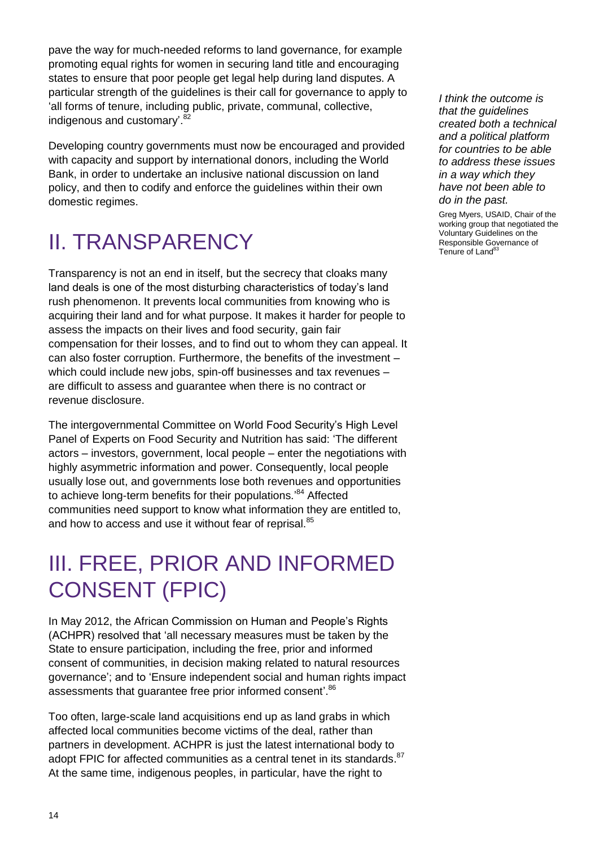pave the way for much-needed reforms to land governance, for example promoting equal rights for women in securing land title and encouraging states to ensure that poor people get legal help during land disputes. A particular strength of the guidelines is their call for governance to apply to "all forms of tenure, including public, private, communal, collective, indigenous and customary'.<sup>82</sup>

Developing country governments must now be encouraged and provided with capacity and support by international donors, including the World Bank, in order to undertake an inclusive national discussion on land policy, and then to codify and enforce the guidelines within their own domestic regimes.

## II. TRANSPARENCY

Transparency is not an end in itself, but the secrecy that cloaks many land deals is one of the most disturbing characteristics of today"s land rush phenomenon. It prevents local communities from knowing who is acquiring their land and for what purpose. It makes it harder for people to assess the impacts on their lives and food security, gain fair compensation for their losses, and to find out to whom they can appeal. It can also foster corruption. Furthermore, the benefits of the investment – which could include new jobs, spin-off businesses and tax revenues – are difficult to assess and guarantee when there is no contract or revenue disclosure.

The intergovernmental Committee on World Food Security"s High Level Panel of Experts on Food Security and Nutrition has said: "The different actors – investors, government, local people – enter the negotiations with highly asymmetric information and power. Consequently, local people usually lose out, and governments lose both revenues and opportunities to achieve long-term benefits for their populations.<sup>84</sup> Affected communities need support to know what information they are entitled to, and how to access and use it without fear of reprisal.<sup>85</sup>

## III. FREE, PRIOR AND INFORMED CONSENT (FPIC)

In May 2012, the African Commission on Human and People"s Rights (ACHPR) resolved that "all necessary measures must be taken by the State to ensure participation, including the free, prior and informed consent of communities, in decision making related to natural resources governance"; and to "Ensure independent social and human rights impact assessments that guarantee free prior informed consent'.<sup>86</sup>

Too often, large-scale land acquisitions end up as land grabs in which affected local communities become victims of the deal, rather than partners in development. ACHPR is just the latest international body to adopt FPIC for affected communities as a central tenet in its standards.<sup>87</sup> At the same time, indigenous peoples, in particular, have the right to

*I think the outcome is that the guidelines created both a technical and a political platform for countries to be able to address these issues in a way which they have not been able to do in the past.*

Greg Myers, USAID, Chair of the working group that negotiated the Voluntary Guidelines on the Responsible Governance of Tenure of Land<sup>83</sup>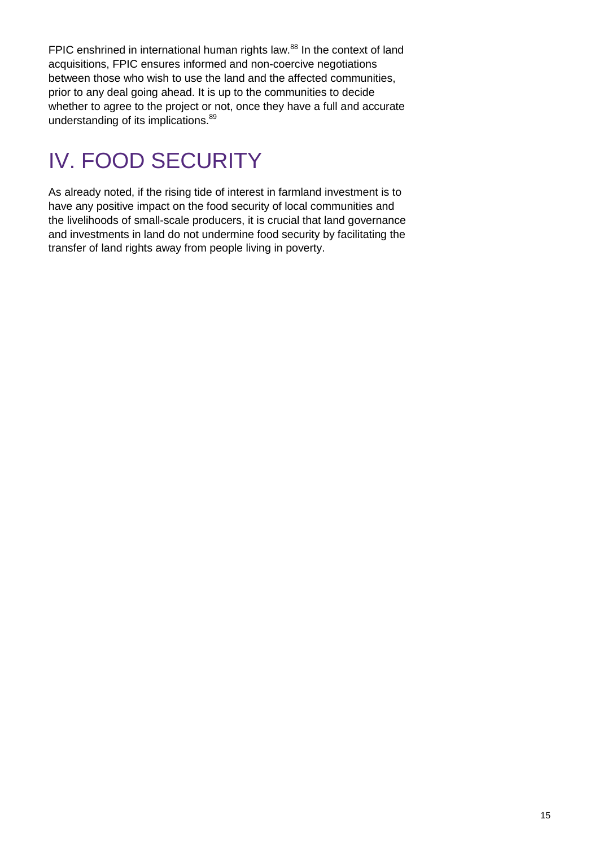FPIC enshrined in international human rights law.<sup>88</sup> In the context of land acquisitions, FPIC ensures informed and non-coercive negotiations between those who wish to use the land and the affected communities, prior to any deal going ahead. It is up to the communities to decide whether to agree to the project or not, once they have a full and accurate understanding of its implications.<sup>89</sup>

# IV. FOOD SECURITY

As already noted, if the rising tide of interest in farmland investment is to have any positive impact on the food security of local communities and the livelihoods of small-scale producers, it is crucial that land governance and investments in land do not undermine food security by facilitating the transfer of land rights away from people living in poverty.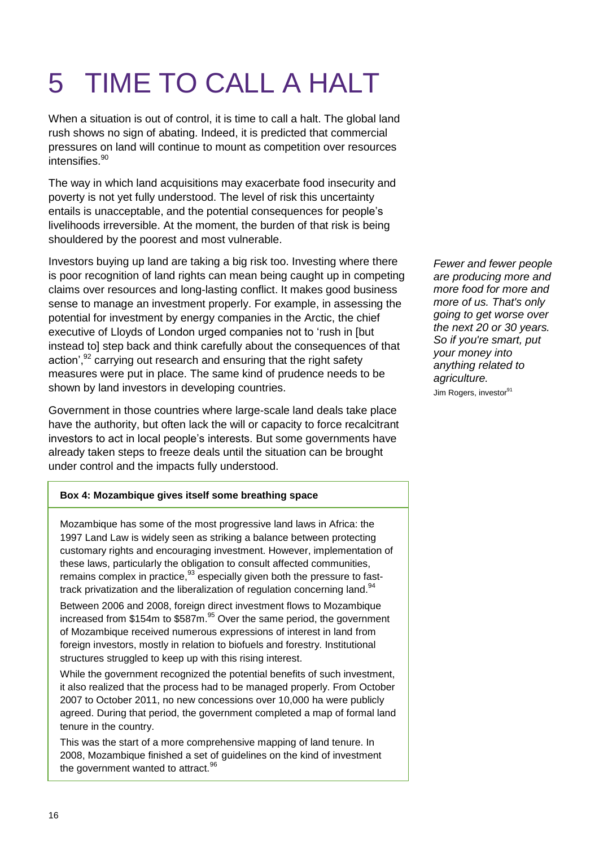# 5 TIME TO CALL A HALT

When a situation is out of control, it is time to call a halt. The global land rush shows no sign of abating. Indeed, it is predicted that commercial pressures on land will continue to mount as competition over resources intensifies.<sup>90</sup>

The way in which land acquisitions may exacerbate food insecurity and poverty is not yet fully understood. The level of risk this uncertainty entails is unacceptable, and the potential consequences for people"s livelihoods irreversible. At the moment, the burden of that risk is being shouldered by the poorest and most vulnerable.

Investors buying up land are taking a big risk too. Investing where there is poor recognition of land rights can mean being caught up in competing claims over resources and long-lasting conflict. It makes good business sense to manage an investment properly. For example, in assessing the potential for investment by energy companies in the Arctic, the chief executive of Lloyds of London urged companies not to "rush in [but instead to] step back and think carefully about the consequences of that action',<sup>92</sup> carrying out research and ensuring that the right safety measures were put in place. The same kind of prudence needs to be shown by land investors in developing countries.

Government in those countries where large-scale land deals take place have the authority, but often lack the will or capacity to force recalcitrant investors to act in local people's interests. But some governments have already taken steps to freeze deals until the situation can be brought under control and the impacts fully understood.

### **Box 4: Mozambique gives itself some breathing space**

Mozambique has some of the most progressive land laws in Africa: the 1997 Land Law is widely seen as striking a balance between protecting customary rights and encouraging investment. However, implementation of these laws, particularly the obligation to consult affected communities, remains complex in practice,  $93$  especially given both the pressure to fasttrack privatization and the liberalization of regulation concerning land.<sup>94</sup>

Between 2006 and 2008, foreign direct investment flows to Mozambique increased from \$154m to \$587m.<sup>95</sup> Over the same period, the government of Mozambique received numerous expressions of interest in land from foreign investors, mostly in relation to biofuels and forestry. Institutional structures struggled to keep up with this rising interest.

While the government recognized the potential benefits of such investment, it also realized that the process had to be managed properly. From October 2007 to October 2011, no new concessions over 10,000 ha were publicly agreed. During that period, the government completed a map of formal land tenure in the country.

This was the start of a more comprehensive mapping of land tenure. In 2008, Mozambique finished a set of guidelines on the kind of investment the government wanted to attract. $96$ 

*Fewer and fewer people are producing more and more food for more and more of us. That's only going to get worse over the next 20 or 30 years. So if you're smart, put your money into anything related to agriculture.*  Jim Rogers, investor<sup>91</sup>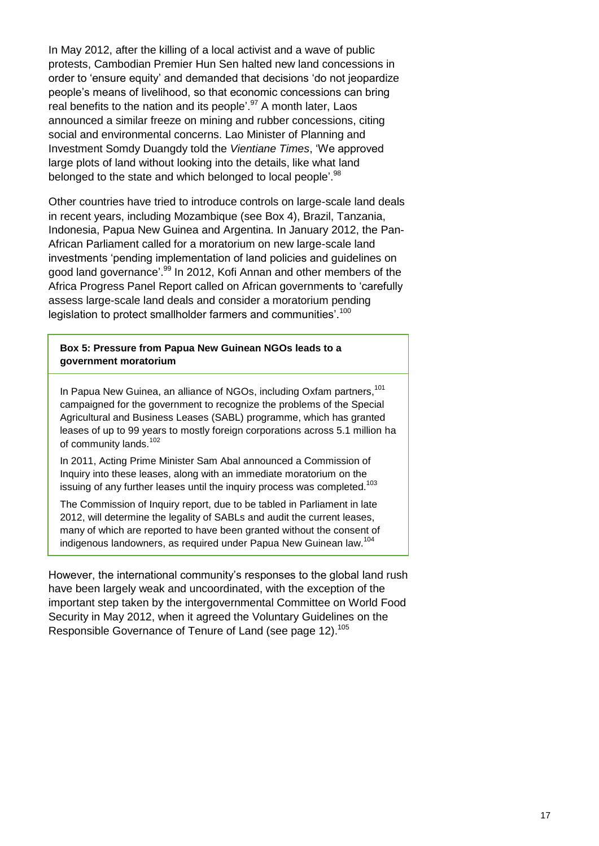In May 2012, after the killing of a local activist and a wave of public protests, Cambodian Premier Hun Sen halted new land concessions in order to "ensure equity" and demanded that decisions "do not jeopardize people"s means of livelihood, so that economic concessions can bring real benefits to the nation and its people'.<sup>97</sup> A month later, Laos announced a similar freeze on mining and rubber concessions, citing social and environmental concerns. Lao Minister of Planning and Investment Somdy Duangdy told the *Vientiane Times*, "We approved large plots of land without looking into the details, like what land belonged to the state and which belonged to local people'.<sup>98</sup>

Other countries have tried to introduce controls on large-scale land deals in recent years, including Mozambique (see Box 4), Brazil, Tanzania, Indonesia, Papua New Guinea and Argentina. In January 2012, the Pan-African Parliament called for a moratorium on new large-scale land investments "pending implementation of land policies and guidelines on good land governance'.<sup>99</sup> In 2012, Kofi Annan and other members of the Africa Progress Panel Report called on African governments to "carefully assess large-scale land deals and consider a moratorium pending legislation to protect smallholder farmers and communities'.<sup>100</sup>

**Box 5: Pressure from Papua New Guinean NGOs leads to a government moratorium**

In Papua New Guinea, an alliance of NGOs, including Oxfam partners,<sup>101</sup> campaigned for the government to recognize the problems of the Special Agricultural and Business Leases (SABL) programme, which has granted leases of up to 99 years to mostly foreign corporations across 5.1 million ha of community lands.<sup>102</sup>

In 2011, Acting Prime Minister Sam Abal announced a Commission of Inquiry into these leases, along with an immediate moratorium on the issuing of any further leases until the inquiry process was completed.<sup>103</sup>

The Commission of Inquiry report, due to be tabled in Parliament in late 2012, will determine the legality of SABLs and audit the current leases, many of which are reported to have been granted without the consent of indigenous landowners, as required under Papua New Guinean law.<sup>104</sup>

However, the international community's responses to the global land rush have been largely weak and uncoordinated, with the exception of the important step taken by the intergovernmental Committee on World Food Security in May 2012, when it agreed the Voluntary Guidelines on the Responsible Governance of Tenure of Land (see page 12).<sup>105</sup>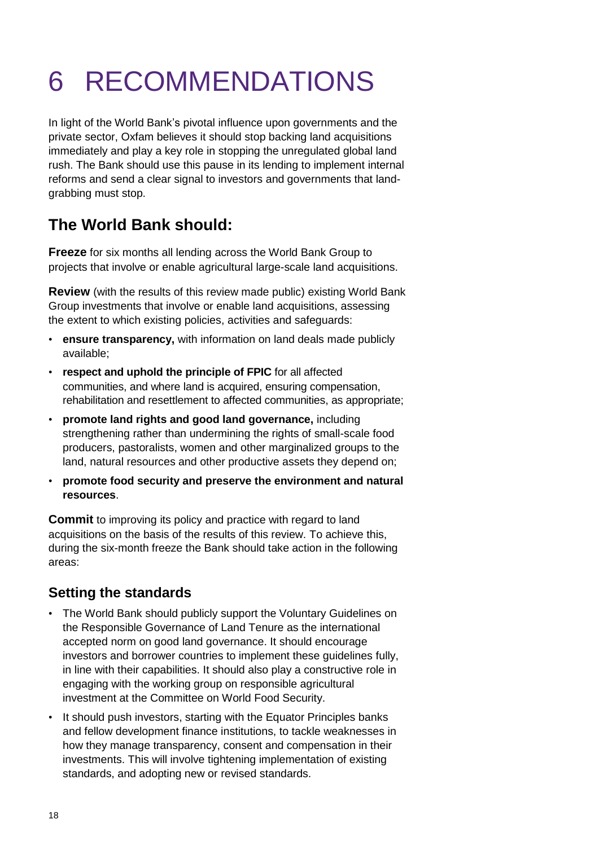# 6 RECOMMENDATIONS

In light of the World Bank"s pivotal influence upon governments and the private sector, Oxfam believes it should stop backing land acquisitions immediately and play a key role in stopping the unregulated global land rush. The Bank should use this pause in its lending to implement internal reforms and send a clear signal to investors and governments that landgrabbing must stop.

## **The World Bank should:**

**Freeze** for six months all lending across the World Bank Group to projects that involve or enable agricultural large-scale land acquisitions.

**Review** (with the results of this review made public) existing World Bank Group investments that involve or enable land acquisitions, assessing the extent to which existing policies, activities and safeguards:

- **ensure transparency,** with information on land deals made publicly available;
- **respect and uphold the principle of FPIC** for all affected communities, and where land is acquired, ensuring compensation, rehabilitation and resettlement to affected communities, as appropriate;
- **promote land rights and good land governance,** including strengthening rather than undermining the rights of small-scale food producers, pastoralists, women and other marginalized groups to the land, natural resources and other productive assets they depend on;
- **promote food security and preserve the environment and natural resources**.

**Commit** to improving its policy and practice with regard to land acquisitions on the basis of the results of this review. To achieve this, during the six-month freeze the Bank should take action in the following areas:

### **Setting the standards**

- The World Bank should publicly support the Voluntary Guidelines on the Responsible Governance of Land Tenure as the international accepted norm on good land governance. It should encourage investors and borrower countries to implement these guidelines fully, in line with their capabilities. It should also play a constructive role in engaging with the working group on responsible agricultural investment at the Committee on World Food Security.
- It should push investors, starting with the Equator Principles banks and fellow development finance institutions, to tackle weaknesses in how they manage transparency, consent and compensation in their investments. This will involve tightening implementation of existing standards, and adopting new or revised standards.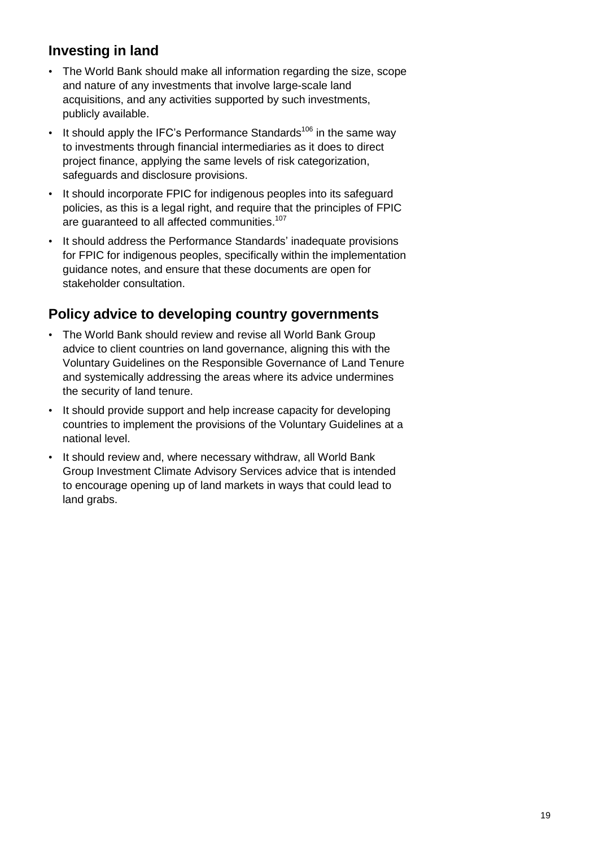### **Investing in land**

- The World Bank should make all information regarding the size, scope and nature of any investments that involve large-scale land acquisitions, and any activities supported by such investments, publicly available.
- It should apply the IFC's Performance Standards<sup>106</sup> in the same way to investments through financial intermediaries as it does to direct project finance, applying the same levels of risk categorization, safeguards and disclosure provisions.
- It should incorporate FPIC for indigenous peoples into its safeguard policies, as this is a legal right, and require that the principles of FPIC are guaranteed to all affected communities.<sup>107</sup>
- It should address the Performance Standards' inadequate provisions for FPIC for indigenous peoples, specifically within the implementation guidance notes, and ensure that these documents are open for stakeholder consultation.

### **Policy advice to developing country governments**

- The World Bank should review and revise all World Bank Group advice to client countries on land governance, aligning this with the Voluntary Guidelines on the Responsible Governance of Land Tenure and systemically addressing the areas where its advice undermines the security of land tenure.
- It should provide support and help increase capacity for developing countries to implement the provisions of the Voluntary Guidelines at a national level.
- It should review and, where necessary withdraw, all World Bank Group Investment Climate Advisory Services advice that is intended to encourage opening up of land markets in ways that could lead to land grabs.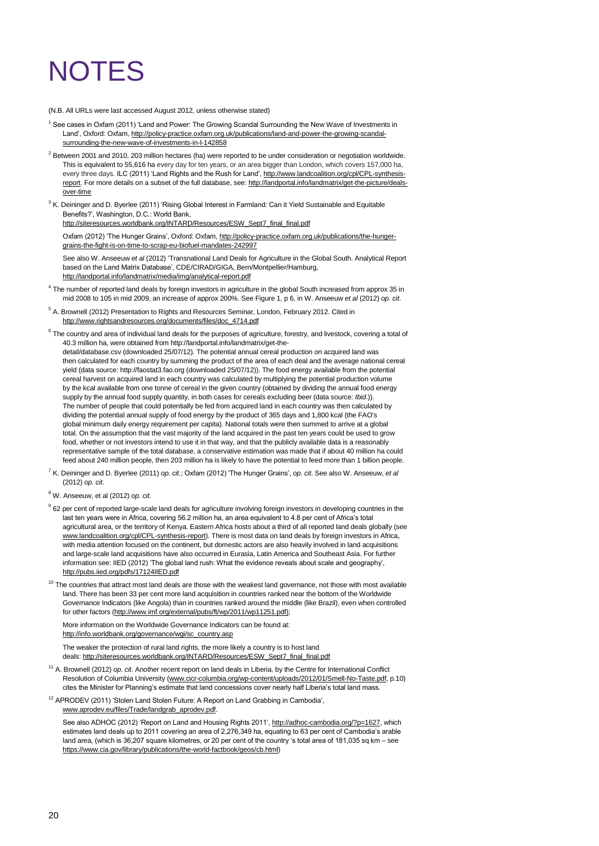# **NOTES**

(N.B. All URLs were last accessed August 2012, unless otherwise stated)

- <sup>1</sup> See cases in Oxfam (2011) 'Land and Power: The Growing Scandal Surrounding the New Wave of Investments in Land', Oxford: Oxfam[, http://policy-practice.oxfam.org.uk/publications/land-and-power-the-growing-scandal](http://policy-practice.oxfam.org.uk/publications/land-and-power-the-growing-scandal-surrounding-the-new-wave-of-investments-in-l-142858)[surrounding-the-new-wave-of-investments-in-l-142858](http://policy-practice.oxfam.org.uk/publications/land-and-power-the-growing-scandal-surrounding-the-new-wave-of-investments-in-l-142858)
- $2$  Between 2001 and 2010, 203 million hectares (ha) were reported to be under consideration or negotiation worldwide. This is equivalent to 55,616 ha every day for ten years, or an area bigger than London, which covers 157,000 ha, every three days. ILC (2011) 'Land Rights and the Rush for Land', [http://www.landcoalition.org/cpl/CPL-synthesis](http://www.landcoalition.org/cpl/CPL-synthesis-report)[report.](http://www.landcoalition.org/cpl/CPL-synthesis-report) For more details on a subset of the full database, see: [http://landportal.info/landmatrix/get-the-picture/deals](http://landportal.info/landmatrix/get-the-picture/deals-over-time)[over-time](http://landportal.info/landmatrix/get-the-picture/deals-over-time)
- $3$  K. Deininger and D. Byerlee (2011) 'Rising Global Interest in Farmland: Can it Yield Sustainable and Equitable Benefits?", Washington, D.C.: World Bank,

[http://siteresources.worldbank.org/INTARD/Resources/ESW\\_Sept7\\_final\\_final.pdf](http://siteresources.worldbank.org/INTARD/Resources/ESW_Sept7_final_final.pdf) 

Oxfam (2012) 'The Hunger Grains', Oxford: Oxfam[, http://policy-practice.oxfam.org.uk/publications/the-hunger](http://policy-practice.oxfam.org.uk/publications/the-hunger-grains-the-fight-is-on-time-to-scrap-eu-biofuel-mandates-242997)[grains-the-fight-is-on-time-to-scrap-eu-biofuel-mandates-242997](http://policy-practice.oxfam.org.uk/publications/the-hunger-grains-the-fight-is-on-time-to-scrap-eu-biofuel-mandates-242997)

See also W. Anseeuw *et al* (2012) "Transnational Land Deals for Agriculture in the Global South. Analytical Report based on the Land Matrix Database", CDE/CIRAD/GIGA, Bern/Montpellier/Hamburg, <http://landportal.info/landmatrix/media/img/analytical-report.pdf>

- <sup>4</sup> The number of reported land deals by foreign investors in agriculture in the global South increased from approx 35 in mid 2008 to 105 in mid 2009, an increase of approx 200%. See Figure 1, p 6, in W. Anseeuw *et al* (2012) *op. cit*.
- <sup>5</sup> A. Brownell (2012) Presentation to Rights and Resources Seminar, London, February 2012. Cited in [http://www.rightsandresources.org/documents/files/doc\\_4714.pdf](http://www.rightsandresources.org/documents/files/doc_4714.pdf)

 $^6$  The country and area of individual land deals for the purposes of agriculture, forestry, and livestock, covering a total of 40.3 million ha, were obtained from [http://landportal.info/landmatrix/get-the](http://landportal.info/landmatrix/get-the-detail/database.csv)[detail/database.csv](http://landportal.info/landmatrix/get-the-detail/database.csv) (downloaded 25/07/12). The potential annual cereal production on acquired land was then calculated for each country by summing the product of the area of each deal and the average national cereal yield (data source: [http://faostat3.fao.org](http://faostat3.fao.org/) (downloaded 25/07/12)). The food energy available from the potential cereal harvest on acquired land in each country was calculated by multiplying the potential production volume by the kcal available from one tonne of cereal in the given country (obtained by dividing the annual food energy supply by the annual food supply quantity, in both cases for cereals excluding beer (data source: *Ibid*.)). The number of people that could potentially be fed from acquired land in each country was then calculated by dividing the potential annual supply of food energy by the product of 365 days and 1,800 kcal (the FAO's global minimum daily energy requirement per capita). National totals were then summed to arrive at a global total. On the assumption that the vast majority of the land acquired in the past ten years could be used to grow food, whether or not investors intend to use it in that way, and that the publicly available data is a reasonably representative sample of the total database, a conservative estimation was made that if about 40 million ha could feed about 240 million people, then 203 million ha is likely to have the potential to feed more than 1 billion people.

- <sup>7</sup> K. Deininger and D. Byerlee (2011) *op. cit*.; Oxfam (2012) "The Hunger Grains", *op. cit*. See also W. Anseeuw, *et al* (2012) *op. cit*.
- <sup>8</sup> W. Anseeuw, et al (2012) *op. cit.*
- <sup>9</sup> 62 per cent of reported large-scale land deals for agriculture involving foreign investors in developing countries in the last ten years were in Africa, covering 56.2 million ha, an area equivalent to 4.8 per cent of Africa"s total agricultural area, or the territory of Kenya. Eastern Africa hosts about a third of all reported land deals globally (see [www.landcoalition.org/cpl/CPL-synthesis-report\).](http://www.landcoalition.org/cpl/CPL-synthesis-report) There is most data on land deals by foreign investors in Africa, with media attention focused on the continent, but domestic actors are also heavily involved in land acquisitions and large-scale land acquisitions have also occurred in Eurasia, Latin America and Southeast Asia. For further information see: IIED (2012) "The global land rush: What the evidence reveals about scale and geography", <http://pubs.iied.org/pdfs/17124IIED.pdf>
- $10$  The countries that attract most land deals are those with the weakest land governance, not those with most available land. There has been 33 per cent more land acquisition in countries ranked near the bottom of the Worldwide Governance Indicators (like Angola) than in countries ranked around the middle (like Brazil), even when controlled for other factors [\(http://www.imf.org/external/pubs/ft/wp/2011/wp11251.pdf\);](http://www.imf.org/external/pubs/ft/wp/2011/wp11251.pdf)

More information on the Worldwide Governance Indicators can be found at: [http://info.worldbank.org/governance/wgi/sc\\_country.asp](http://info.worldbank.org/governance/wgi/sc_country.asp)

The weaker the protection of rural land rights, the more likely a country is to host land deals: [http://siteresources.worldbank.org/INTARD/Resources/ESW\\_Sept7\\_final\\_final.pdf](http://siteresources.worldbank.org/INTARD/Resources/ESW_Sept7_final_final.pdf)

- <sup>11</sup> A. Brownell (2012) *op. cit*. Another recent report on land deals in Liberia, by the Centre for International Conflict Resolution of Columbia University [\(www.cicr-columbia.org/wp-content/uploads/2012/01/Smell-No-Taste.pdf,](http://www.cicr-columbia.org/wp-content/uploads/2012/01/Smell-No-Taste.pdf) p.10) cites the Minister for Planning's estimate that land concessions cover nearly half Liberia's total land mass.
- <sup>12</sup> APRODEV (2011) 'Stolen Land Stolen Future: A Report on Land Grabbing in Cambodia' www.aprodev.eu/files/Trade/landgrab\_aprodev.pdf.

See also ADHOC (2012) 'Report on Land and Housing Rights 2011'[, http://adhoc-cambodia.org/?p=1627,](http://adhoc-cambodia.org/?p=1627) which estimates land deals up to 2011 covering an area of 2,276,349 ha, equating to 63 per cent of Cambodia"s arable land area, (which is 36,207 square kilometres, or 20 per cent of the country 's total area of 181,035 sq km - see [https://www.cia.gov/library/publications/the-world-factbook/geos/cb.html\)](https://www.cia.gov/library/publications/the-world-factbook/geos/cb.html)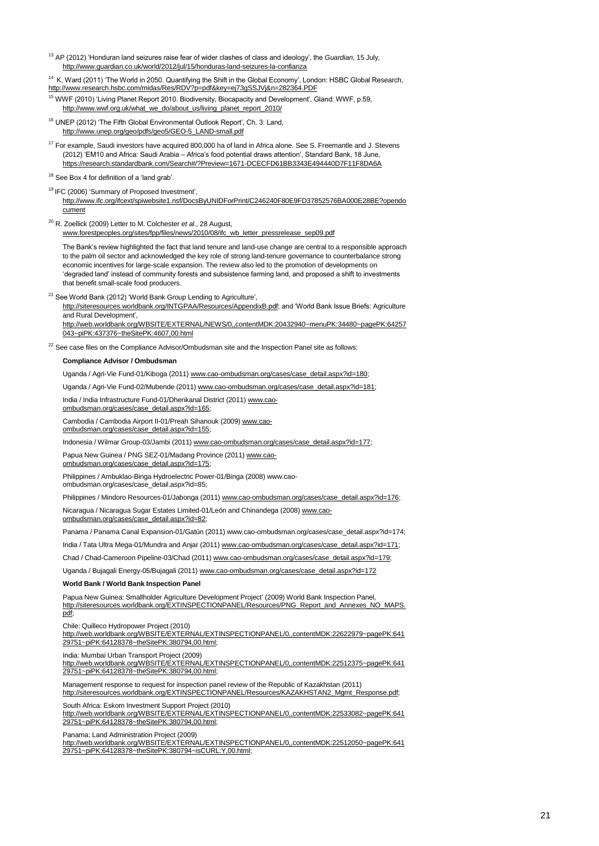<sup>13</sup> AP (2012) "Honduran land seizures raise fear of wider clashes of class and ideology", the *Guardian*, 15 July, <http://www.guardian.co.uk/world/2012/jul/15/honduras-land-seizures-la-confianza>

<sup>14</sup> K. Ward (2011) 'The World in 2050. Quantifying the Shift in the Global Economy', London: HSBC Global Research, <http://www.research.hsbc.com/midas/Res/RDV?p=pdf&key=ej73gSSJVj&n=282364.PDF>

<sup>15</sup> WWF (2010) 'Living Planet Report 2010. Biodiversity, Biocapacity and Development', Gland: WWF, p.59, [http://www.wwf.org.uk/what\\_we\\_do/about\\_us/living\\_planet\\_report\\_2010/](http://www.wwf.org.uk/what_we_do/about_us/living_planet_report_2010/)

<sup>16</sup> UNEP (2012) 'The Fifth Global Environmental Outlook Report', Ch. 3: Land, [http://www.unep.org/geo/pdfs/geo5/GEO-5\\_LAND-small.pdf](http://www.unep.org/geo/pdfs/geo5/GEO-5_LAND-small.pdf)

<sup>17</sup> For example, Saudi investors have acquired 800,000 ha of land in Africa alone. See S. Freemantle and J. Stevens (2012) "EM10 and Africa: Saudi Arabia – Africa"s food potential draws attention", Standard Bank, 18 June, <https://research.standardbank.com/Search#/?Preview=1671-DCECFD61BB3343E494440D7F11F8DA6A>

<sup>18</sup> See Box 4 for definition of a 'land grab'.

<sup>19</sup> IFC (2006) 'Summary of Proposed Investment',

[http://www.ifc.org/ifcext/spiwebsite1.nsf/DocsByUNIDForPrint/C246240F80E9FD37852576BA000E28BE?opendo](http://www.ifc.org/ifcext/spiwebsite1.nsf/DocsByUNIDForPrint/C246240F80E9FD37852576BA000E28BE?opendocument) [cument](http://www.ifc.org/ifcext/spiwebsite1.nsf/DocsByUNIDForPrint/C246240F80E9FD37852576BA000E28BE?opendocument)

<sup>20</sup> R. Zoellick (2009) Letter to M. Colchester *et al.*, 28 August,

[www.forestpeoples.org/sites/fpp/files/news/2010/08/ifc\\_wb\\_letter\\_pressrelease\\_sep09.pdf](http://www.forestpeoples.org/sites/fpp/files/news/2010/08/ifc_wb_letter_pressrelease_sep09.pdf) 

The Bank's review highlighted the fact that land tenure and land-use change are central to a responsible approach to the palm oil sector and acknowledged the key role of strong land-tenure governance to counterbalance strong economic incentives for large-scale expansion. The review also led to the promotion of developments on "degraded land" instead of community forests and subsistence farming land, and proposed a shift to investments that benefit small-scale food producers.

<sup>21</sup> See World Bank (2012) 'World Bank Group Lending to Agriculture',

[http://siteresources.worldbank.org/INTGPAA/Resources/AppendixB.pdf;](http://siteresources.worldbank.org/INTGPAA/Resources/AppendixB.pdf) and "World Bank Issue Briefs: Agriculture and Rural Development",

[http://web.worldbank.org/WBSITE/EXTERNAL/NEWS/0,,contentMDK:20432940~menuPK:34480~pagePK:64257](http://web.worldbank.org/WBSITE/EXTERNAL/NEWS/0,,contentMDK:20432940~menuPK:34480~pagePK:64257043~piPK:437376~theSitePK:4607,00.html) [043~piPK:437376~theSitePK:4607,00.html](http://web.worldbank.org/WBSITE/EXTERNAL/NEWS/0,,contentMDK:20432940~menuPK:34480~pagePK:64257043~piPK:437376~theSitePK:4607,00.html)

 $22$  See case files on the Compliance Advisor/Ombudsman site and the Inspection Panel site as follows:

#### **Compliance Advisor / Ombudsman**

Uganda / Agri-Vie Fund-01/Kiboga (2011[\) www.cao-ombudsman.org/cases/case\\_detail.aspx?id=180;](http://www.cao-ombudsman.org/cases/case_detail.aspx?id=180)

Uganda / Agri-Vie Fund-02/Mubende (2011) www.cao-ombudsman.org/cases/case\_detail.aspx?id=181;

India / India Infrastructure Fund-01/Dhenkanal District (2011[\) www.cao-](http://www.cao-ombudsman.org/cases/case_detail.aspx?id=165)

[ombudsman.org/cases/case\\_detail.aspx?id=165;](http://www.cao-ombudsman.org/cases/case_detail.aspx?id=165) 

Cambodia / Cambodia Airport II-01/Preah Sihanouk (2009[\) www.cao](http://www.cao-ombudsman.org/cases/case_detail.aspx?id=155)[ombudsman.org/cases/case\\_detail.aspx?id=155;](http://www.cao-ombudsman.org/cases/case_detail.aspx?id=155) 

Indonesia / Wilmar Group-03/Jambi (2011[\) www.cao-ombudsman.org/cases/case\\_detail.aspx?id=177;](http://www.cao-ombudsman.org/cases/case_detail.aspx?id=177)

Papua New Guinea / PNG SEZ-01/Madang Province (2011[\) www.cao](http://www.cao-ombudsman.org/cases/case_detail.aspx?id=175)[ombudsman.org/cases/case\\_detail.aspx?id=175;](http://www.cao-ombudsman.org/cases/case_detail.aspx?id=175) 

Philippines / Ambuklao-Binga Hydroelectric Power-01/Binga (2008) www.caoombudsman.org/cases/case\_detail.aspx?id=85;

Philippines / Mindoro Resources-01/Jabonga (2011) www.cao-ombudsman.org/cases/case\_detail.aspx?id=176;

Nicaragua / Nicaragua Sugar Estates Limited-01/León and Chinandega (2008[\) www.cao](http://www.cao-ombudsman.org/cases/case_detail.aspx?id=82)[ombudsman.org/cases/case\\_detail.aspx?id=82;](http://www.cao-ombudsman.org/cases/case_detail.aspx?id=82) 

Panama / Panama Canal Expansion-01/Gatún (2011) www.cao-ombudsman.org/cases/case\_detail.aspx?id=174;

India / Tata Ultra Mega-01/Mundra and Anjar (2011) www.cao-ombudsman.org/cases/case\_detail.aspx?id=171;

Chad / Chad-Cameroon Pipeline-03/Chad (2011) www.cao-ombudsman.org/cases/case\_detail.aspx?id=179;

Uganda / Bujagali Energy-05/Bujagali (2011[\) www.cao-ombudsman.org/cases/case\\_detail.aspx?id=172](http://www.cao-ombudsman.org/cases/case_detail.aspx?id=172)

#### **World Bank / World Bank Inspection Panel**

Papua New Guinea: Smallholder Agriculture Development Project" (2009) World Bank Inspection Panel, [http://siteresources.worldbank.org/EXTINSPECTIONPANEL/Resources/PNG\\_Report\\_and\\_Annexes\\_NO\\_MAPS.](http://siteresources.worldbank.org/EXTINSPECTIONPANEL/Resources/PNG_Report_and_Annexes_NO_MAPS.pdf) [pdf;](http://siteresources.worldbank.org/EXTINSPECTIONPANEL/Resources/PNG_Report_and_Annexes_NO_MAPS.pdf)

Chile: Quilleco Hydropower Project (2010)

[http://web.worldbank.org/WBSITE/EXTERNAL/EXTINSPECTIONPANEL/0,,contentMDK:22622979~pagePK:641](http://web.worldbank.org/WBSITE/EXTERNAL/EXTINSPECTIONPANEL/0,,contentMDK:22622979~pagePK:64129751~piPK:64128378~theSitePK:380794,00.html) [29751~piPK:64128378~theSitePK:380794,00.html;](http://web.worldbank.org/WBSITE/EXTERNAL/EXTINSPECTIONPANEL/0,,contentMDK:22622979~pagePK:64129751~piPK:64128378~theSitePK:380794,00.html) 

India: Mumbai Urban Transport Project (2009)

[http://web.worldbank.org/WBSITE/EXTERNAL/EXTINSPECTIONPANEL/0,,contentMDK:22512375~pagePK:641](http://web.worldbank.org/WBSITE/EXTERNAL/EXTINSPECTIONPANEL/0,,contentMDK:22512375~pagePK:64129751~piPK:64128378~theSitePK:380794,00.html) [29751~piPK:64128378~theSitePK:380794,00.html;](http://web.worldbank.org/WBSITE/EXTERNAL/EXTINSPECTIONPANEL/0,,contentMDK:22512375~pagePK:64129751~piPK:64128378~theSitePK:380794,00.html) 

Management response to request for inspection panel review of the Republic of Kazakhstan (2011)

[http://siteresources.worldbank.org/EXTINSPECTIONPANEL/Resources/KAZAKHSTAN2\\_Mgmt\\_Response.pdf;](http://siteresources.worldbank.org/EXTINSPECTIONPANEL/Resources/KAZAKHSTAN2_Mgmt_Response.pdf)  South Africa: Eskom Investment Support Project (2010)

[http://web.worldbank.org/WBSITE/EXTERNAL/EXTINSPECTIONPANEL/0,,contentMDK:22533082~pagePK:641](http://web.worldbank.org/WBSITE/EXTERNAL/EXTINSPECTIONPANEL/0,,contentMDK:22533082~pagePK:64129751~piPK:64128378~theSitePK:380794,00.html) [29751~piPK:64128378~theSitePK:380794,00.html;](http://web.worldbank.org/WBSITE/EXTERNAL/EXTINSPECTIONPANEL/0,,contentMDK:22533082~pagePK:64129751~piPK:64128378~theSitePK:380794,00.html) 

Panama: Land Administration Project (2009)

[http://web.worldbank.org/WBSITE/EXTERNAL/EXTINSPECTIONPANEL/0,,contentMDK:22512050~pagePK:641](http://web.worldbank.org/WBSITE/EXTERNAL/EXTINSPECTIONPANEL/0,,contentMDK:22512050~pagePK:64129751~piPK:64128378~theSitePK:380794~isCURL:Y,00.html) [29751~piPK:64128378~theSitePK:380794~isCURL:Y,00.html;](http://web.worldbank.org/WBSITE/EXTERNAL/EXTINSPECTIONPANEL/0,,contentMDK:22512050~pagePK:64129751~piPK:64128378~theSitePK:380794~isCURL:Y,00.html)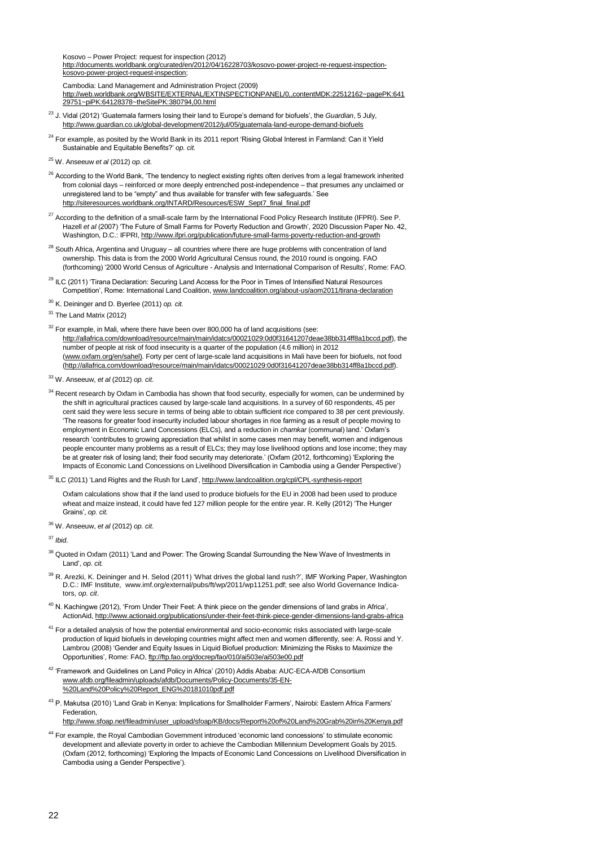Kosovo – Power Project: request for inspection (2012)

[http://documents.worldbank.org/curated/en/2012/04/16228703/kosovo-power-project-re-request-inspection](http://documents.worldbank.org/curated/en/2012/04/16228703/kosovo-power-project-re-request-inspection-kosovo-power-project-request-inspection)[kosovo-power-project-request-inspection;](http://documents.worldbank.org/curated/en/2012/04/16228703/kosovo-power-project-re-request-inspection-kosovo-power-project-request-inspection) 

Cambodia: Land Management and Administration Project (2009)

[http://web.worldbank.org/WBSITE/EXTERNAL/EXTINSPECTIONPANEL/0,,contentMDK:22512162~pagePK:641](http://web.worldbank.org/WBSITE/EXTERNAL/EXTINSPECTIONPANEL/0,,contentMDK:22512162~pagePK:64129751~piPK:64128378~theSitePK:380794,00.html) [29751~piPK:64128378~theSitePK:380794,00.html](http://web.worldbank.org/WBSITE/EXTERNAL/EXTINSPECTIONPANEL/0,,contentMDK:22512162~pagePK:64129751~piPK:64128378~theSitePK:380794,00.html)

- <sup>23</sup> J. Vidal (2012) 'Guatemala farmers losing their land to Europe's demand for biofuels', the *Guardian*, 5 July, <http://www.guardian.co.uk/global-development/2012/jul/05/guatemala-land-europe-demand-biofuels>
- $24$  For example, as posited by the World Bank in its 2011 report 'Rising Global Interest in Farmland: Can it Yield Sustainable and Equitable Benefits?" *op. cit.*
- <sup>25</sup> W. Anseeuw *et al* (2012) *op. cit.*
- $26$  According to the World Bank, 'The tendency to neglect existing rights often derives from a legal framework inherited from colonial days – reinforced or more deeply entrenched post-independence – that presumes any unclaimed or unregistered land to be "empty" and thus available for transfer with few safeguards." See [http://siteresources.worldbank.org/INTARD/Resources/ESW\\_Sept7\\_final\\_final.pdf](http://siteresources.worldbank.org/INTARD/Resources/ESW_Sept7_final_final.pdf)
- <sup>27</sup> According to the definition of a small-scale farm by the International Food Policy Research Institute (IFPRI). See P. Hazell *et al* (2007) "The Future of Small Farms for Poverty Reduction and Growth", 2020 Discussion Paper No. 42, Washington, D.C.: IFPRI[, http://www.ifpri.org/publication/future-small-farms-poverty-reduction-and-growth](http://www.ifpri.org/publication/future-small-farms-poverty-reduction-and-growth)
- <sup>28</sup> South Africa, Argentina and Uruguay all countries where there are huge problems with concentration of land ownership. This data is from the 2000 World Agricultural Census round, the 2010 round is ongoing. FAO (forthcoming) "2000 World Census of Agriculture - Analysis and International Comparison of Results", Rome: FAO.
- <sup>29</sup> ILC (2011) 'Tirana Declaration: Securing Land Access for the Poor in Times of Intensified Natural Resources Competition", Rome: International Land Coalition[, www.landcoalition.org/about-us/aom2011/tirana-declaration](http://www.landcoalition.org/about-us/aom2011/tirana-declaration)

<sup>30</sup> K. Deininger and D. Byerlee (2011) *op. cit.*

<sup>31</sup> The Land Matrix (2012)

 $32$  For example, in Mali, where there have been over 800,000 ha of land acquisitions (see: [http://allafrica.com/download/resource/main/main/idatcs/00021029:0d0f31641207deae38bb314ff8a1bccd.pdf\),](http://allafrica.com/download/resource/main/main/idatcs/00021029:0d0f31641207deae38bb314ff8a1bccd.pdf) the number of people at risk of food insecurity is a quarter of the population (4.6 million) in 2012 [\(www.oxfam.org/en/sahel\)](http://www.oxfam.org/en/sahel). Forty per cent of large-scale land acquisitions in Mali have been for biofuels, not food [\(http://allafrica.com/download/resource/main/main/idatcs/00021029:0d0f31641207deae38bb314ff8a1bccd.pdf\).](http://allafrica.com/download/resource/main/main/idatcs/00021029:0d0f31641207deae38bb314ff8a1bccd.pdf)

<sup>33</sup> W. Anseeuw, *et al* (2012) *op. cit*.

<sup>34</sup> Recent research by Oxfam in Cambodia has shown that food security, especially for women, can be undermined by the shift in agricultural practices caused by large-scale land acquisitions. In a survey of 60 respondents, 45 per cent said they were less secure in terms of being able to obtain sufficient rice compared to 38 per cent previously. "The reasons for greater food insecurity included labour shortages in rice farming as a result of people moving to employment in Economic Land Concessions (ELCs), and a reduction in *chamkar* (communal) land." Oxfam"s research "contributes to growing appreciation that whilst in some cases men may benefit, women and indigenous people encounter many problems as a result of ELCs; they may lose livelihood options and lose income; they may be at greater risk of losing land; their food security may deteriorate." (Oxfam (2012, forthcoming) "Exploring the Impacts of Economic Land Concessions on Livelihood Diversification in Cambodia using a Gender Perspective")

<sup>35</sup> ILC (2011) 'Land Rights and the Rush for Land', <http://www.landcoalition.org/cpl/CPL-synthesis-report>

Oxfam calculations show that if the land used to produce biofuels for the EU in 2008 had been used to produce wheat and maize instead, it could have fed 127 million people for the entire year. R. Kelly (2012) "The Hunger Grains", *op. cit.* 

<sup>36</sup> W. Anseeuw, *et al* (2012) *op. cit*.

<sup>37</sup> *Ibid*.

- <sup>38</sup> Quoted in Oxfam (2011) 'Land and Power: The Growing Scandal Surrounding the New Wave of Investments in Land", *op. cit.*
- $39$  R. Arezki, K. Deininger and H. Selod (2011) 'What drives the global land rush?', IMF Working Paper, Washington D.C.: IMF Institute, www.imf.org/external/pubs/ft/wp/2011/wp11251.pdf; see also World Governance Indicators, *op. cit*.
- $40$  N. Kachingwe (2012), 'From Under Their Feet: A think piece on the gender dimensions of land grabs in Africa', ActionAid,<http://www.actionaid.org/publications/under-their-feet-think-piece-gender-dimensions-land-grabs-africa>
- <sup>41</sup> For a detailed analysis of how the potential environmental and socio-economic risks associated with large-scale production of liquid biofuels in developing countries might affect men and women differently, see: A. Rossi and Y. Lambrou (2008) "Gender and Equity Issues in Liquid Biofuel production: Minimizing the Risks to Maximize the Opportunities", Rome: FAO[, ftp://ftp.fao.org/docrep/fao/010/ai503e/ai503e00.pdf](ftp://ftp.fao.org/docrep/fao/010/ai503e/ai503e00.pdf)
- 42 'Framework and Guidelines on Land Policy in Africa' (2010) Addis Ababa: AUC-ECA-AfDB Consortium [www.afdb.org/fileadmin/uploads/afdb/Documents/Policy-Documents/35-EN-](http://www.afdb.org/fileadmin/uploads/afdb/Documents/Policy-Documents/35-EN-%20Land%20Policy%20Report_ENG%20181010pdf.pdf) [%20Land%20Policy%20Report\\_ENG%20181010pdf.pdf](http://www.afdb.org/fileadmin/uploads/afdb/Documents/Policy-Documents/35-EN-%20Land%20Policy%20Report_ENG%20181010pdf.pdf)
- <sup>43</sup> P. Makutsa (2010) 'Land Grab in Kenya: Implications for Smallholder Farmers', Nairobi: Eastern Africa Farmers' Federation,
- [http://www.sfoap.net/fileadmin/user\\_upload/sfoap/KB/docs/Report%20of%20Land%20Grab%20in%20Kenya.pdf](http://www.sfoap.net/fileadmin/user_upload/sfoap/KB/docs/Report%20of%20Land%20Grab%20in%20Kenya.pdf)
- <sup>44</sup> For example, the Royal Cambodian Government introduced 'economic land concessions' to stimulate economic development and alleviate poverty in order to achieve the Cambodian Millennium Development Goals by 2015. (Oxfam (2012, forthcoming) "Exploring the Impacts of Economic Land Concessions on Livelihood Diversification in Cambodia using a Gender Perspective").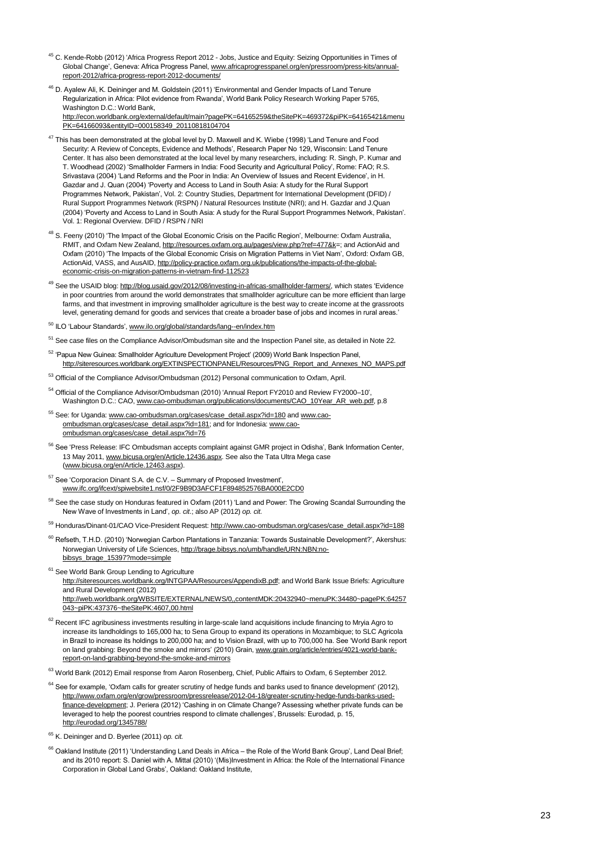- <sup>45</sup> C. Kende-Robb (2012) 'Africa Progress Report 2012 Jobs, Justice and Equity: Seizing Opportunities in Times of Global Change', Geneva: Africa Progress Panel, [www.africaprogresspanel.org/en/pressroom/press-kits/annual](http://www.africaprogresspanel.org/en/pressroom/press-kits/annual-report-2012/africa-progress-report-2012-documents/)[report-2012/africa-progress-report-2012-documents/](http://www.africaprogresspanel.org/en/pressroom/press-kits/annual-report-2012/africa-progress-report-2012-documents/)
- <sup>46</sup> D. Ayalew Ali, K. Deininger and M. Goldstein (2011) 'Environmental and Gender Impacts of Land Tenure Regularization in Africa: Pilot evidence from Rwanda", World Bank Policy Research Working Paper 5765, Washington D.C.: World Bank [http://econ.worldbank.org/external/default/main?pagePK=64165259&theSitePK=469372&piPK=64165421&menu](http://econ.worldbank.org/external/default/main?pagePK=64165259&theSitePK=469372&piPK=64165421&menuPK=64166093&entityID=000158349_20110818104704) [PK=64166093&entityID=000158349\\_20110818104704](http://econ.worldbank.org/external/default/main?pagePK=64165259&theSitePK=469372&piPK=64165421&menuPK=64166093&entityID=000158349_20110818104704)
- <sup>47</sup> This has been demonstrated at the global level by D. Maxwell and K. Wiebe (1998) 'Land Tenure and Food Security: A Review of Concepts, Evidence and Methods", Research Paper No 129, Wisconsin: Land Tenure Center. It has also been demonstrated at the local level by many researchers, including: R. Singh, P. Kumar and T. Woodhead (2002) "Smallholder Farmers in India: Food Security and Agricultural Policy", Rome: FAO; R.S. Srivastava (2004) 'Land Reforms and the Poor in India: An Overview of Issues and Recent Evidence', in H. Gazdar and J. Quan (2004) "Poverty and Access to Land in South Asia: A study for the Rural Support Programmes Network, Pakistan", Vol. 2: Country Studies, Department for International Development (DFID) / Rural Support Programmes Network (RSPN) / Natural Resources Institute (NRI); and H. Gazdar and J.Quan (2004) "Poverty and Access to Land in South Asia: A study for the Rural Support Programmes Network, Pakistan". Vol. 1: Regional Overview. DFID / RSPN / NRI
- <sup>48</sup> S. Feeny (2010) 'The Impact of the Global Economic Crisis on the Pacific Region', Melbourne: Oxfam Australia, RMIT, and Oxfam New Zealand, [http://resources.oxfam.org.au/pages/view.php?ref=477&k=](http://resources.oxfam.org.au/pages/view.php?ref=477&k); and ActionAid and Oxfam (2010) "The Impacts of the Global Economic Crisis on Migration Patterns in Viet Nam", Oxford: Oxfam GB, ActionAid, VASS, and AusAID, [http://policy-practice.oxfam.org.uk/publications/the-impacts-of-the-global](http://policy-practice.oxfam.org.uk/publications/the-impacts-of-the-global-economic-crisis-on-migration-patterns-in-vietnam-find-112523)[economic-crisis-on-migration-patterns-in-vietnam-find-112523](http://policy-practice.oxfam.org.uk/publications/the-impacts-of-the-global-economic-crisis-on-migration-patterns-in-vietnam-find-112523)
- <sup>49</sup> See the USAID blog: [http://blog.usaid.gov/2012/08/investing-in-africas-smallholder-farmers/,](http://blog.usaid.gov/2012/08/investing-in-africas-smallholder-farmers/) which states 'Evidence in poor countries from around the world demonstrates that smallholder agriculture can be more efficient than large farms, and that investment in improving smallholder agriculture is the best way to create income at the grassroots level, generating demand for goods and services that create a broader base of jobs and incomes in rural areas."
- 50 ILO 'Labour Standards'[, www.ilo.org/global/standards/lang--en/index.htm](http://www.ilo.org/global/standards/lang--en/index.htm)
- <sup>51</sup> See case files on the Compliance Advisor/Ombudsman site and the Inspection Panel site, as detailed in Note 22.
- 52 'Papua New Guinea: Smallholder Agriculture Development Project' (2009) World Bank Inspection Panel, [http://siteresources.worldbank.org/EXTINSPECTIONPANEL/Resources/PNG\\_Report\\_and\\_Annexes\\_NO\\_MAPS.pdf](http://siteresources.worldbank.org/EXTINSPECTIONPANEL/Resources/PNG_Report_and_Annexes_NO_MAPS.pdf)
- 53 Official of the Compliance Advisor/Ombudsman (2012) Personal communication to Oxfam, April
- <sup>54</sup> Official of the Compliance Advisor/Ombudsman (2010) "Annual Report FY2010 and Review FY2000–10", Washington D.C.: CAO, [www.cao-ombudsman.org/publications/documents/CAO\\_10Year\\_AR\\_web.pdf,](http://www.cao-ombudsman.org/publications/documents/CAO_10Year_AR_web.pdf) p.8
- <sup>55</sup> See: for Uganda[: www.cao-ombudsman.org/cases/case\\_detail.aspx?id=180](http://www.cao-ombudsman.org/cases/case_detail.aspx?id=180) an[d www.cao](http://www.cao-ombudsman.org/cases/case_detail.aspx?id=181)[ombudsman.org/cases/case\\_detail.aspx?id=181;](http://www.cao-ombudsman.org/cases/case_detail.aspx?id=181) and for Indonesia[: www.cao](http://www.cao-ombudsman.org/cases/case_detail.aspx?id=76)[ombudsman.org/cases/case\\_detail.aspx?id=76](http://www.cao-ombudsman.org/cases/case_detail.aspx?id=76)
- 56 See 'Press Release: IFC Ombudsman accepts complaint against GMR project in Odisha', Bank Information Center, 13 May 2011[, www.bicusa.org/en/Article.12436.aspx.](http://www.bicusa.org/en/Article.12436.aspx) See also the Tata Ultra Mega case [\(www.bicusa.org/en/Article.12463.aspx\).](http://www.bicusa.org/en/Article.12463.aspx)
- <sup>57</sup> See 'Corporacion Dinant S.A. de C.V. Summary of Proposed Investment', [www.ifc.org/ifcext/spiwebsite1.nsf/0/2F9B9D3AFCF1F894852576BA000E2CD0](http://www.ifc.org/ifcext/spiwebsite1.nsf/0/2F9B9D3AFCF1F894852576BA000E2CD0)
- <sup>58</sup> See the case study on Honduras featured in Oxfam (2011) 'Land and Power: The Growing Scandal Surrounding the New Wave of Investments in Land", *op. cit*.; also AP (2012) *op. cit.*
- 59 Honduras/Dinant-01/CAO Vice-President Request[: http://www.cao-ombudsman.org/cases/case\\_detail.aspx?id=188](http://www.cao-ombudsman.org/cases/case_detail.aspx?id=188)
- <sup>60</sup> Refseth, T.H.D. (2010) 'Norwegian Carbon Plantations in Tanzania: Towards Sustainable Development?', Akershus: Norwegian University of Life Sciences[, http://brage.bibsys.no/umb/handle/URN:NBN:no](http://brage.bibsys.no/umb/handle/URN:NBN:no-bibsys_brage_15397?mode=simple)[bibsys\\_brage\\_15397?mode=simple](http://brage.bibsys.no/umb/handle/URN:NBN:no-bibsys_brage_15397?mode=simple)
- <sup>61</sup> See World Bank Group Lending to Agriculture
	- [http://siteresources.worldbank.org/INTGPAA/Resources/AppendixB.pdf;](http://siteresources.worldbank.org/INTGPAA/Resources/AppendixB.pdf) and World Bank Issue Briefs: Agriculture and Rural Development (2012)
		- [http://web.worldbank.org/WBSITE/EXTERNAL/NEWS/0,,contentMDK:20432940~menuPK:34480~pagePK:64257](http://web.worldbank.org/WBSITE/EXTERNAL/NEWS/0,,contentMDK:20432940~menuPK:34480~pagePK:64257043~piPK:437376~theSitePK:4607,00.html) [043~piPK:437376~theSitePK:4607,00.html](http://web.worldbank.org/WBSITE/EXTERNAL/NEWS/0,,contentMDK:20432940~menuPK:34480~pagePK:64257043~piPK:437376~theSitePK:4607,00.html)
- $62$  Recent IFC agribusiness investments resulting in large-scale land acquisitions include financing to Mryia Agro to increase its landholdings to 165,000 ha; to Sena Group to expand its operations in Mozambique; to SLC Agricola in Brazil to increase its holdings to 200,000 ha; and to Vision Brazil, with up to 700,000 ha. See "World Bank report on land grabbing: Beyond the smoke and mirrors' (2010) Grain, [www.grain.org/article/entries/4021-world-bank](http://www.grain.org/article/entries/4021-world-bank-report-on-land-grabbing-beyond-the-smoke-and-mirrors)[report-on-land-grabbing-beyond-the-smoke-and-mirrors](http://www.grain.org/article/entries/4021-world-bank-report-on-land-grabbing-beyond-the-smoke-and-mirrors)
- <sup>63</sup> World Bank (2012) Email response from Aaron Rosenberg, Chief, Public Affairs to Oxfam, 6 September 2012.
- $64$  See for example, 'Oxfam calls for greater scrutiny of hedge funds and banks used to finance development' (2012), [http://www.oxfam.org/en/grow/pressroom/pressrelease/2012-04-18/greater-scrutiny-hedge-funds-banks-used](http://www.oxfam.org/en/grow/pressroom/pressrelease/2012-04-18/greater-scrutiny-hedge-funds-banks-used-finance-development)[finance-development;](http://www.oxfam.org/en/grow/pressroom/pressrelease/2012-04-18/greater-scrutiny-hedge-funds-banks-used-finance-development) J. Periera (2012) "Cashing in on Climate Change? Assessing whether private funds can be leveraged to help the poorest countries respond to climate challenges', Brussels: Eurodad, p. 15, <http://eurodad.org/1345788/>
- <sup>65</sup> K. Deininger and D. Byerlee (2011) *op. cit.*
- $66$  Oakland Institute (2011) 'Understanding Land Deals in Africa the Role of the World Bank Group', Land Deal Brief; and its 2010 report: S. Daniel with A. Mittal (2010) "(Mis)Investment in Africa: the Role of the International Finance Corporation in Global Land Grabs", Oakland: Oakland Institute,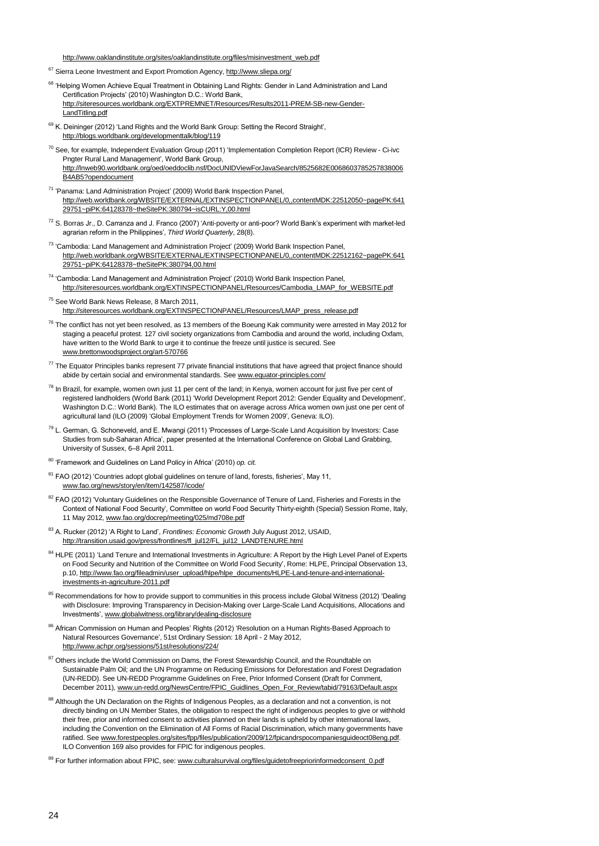[http://www.oaklandinstitute.org/sites/oaklandinstitute.org/files/misinvestment\\_web.pdf](http://www.oaklandinstitute.org/sites/oaklandinstitute.org/files/misinvestment_web.pdf)

- <sup>67</sup> Sierra Leone Investment and Export Promotion Agency[, http://www.sliepa.org/](http://www.sliepa.org/)
- <sup>68</sup> 'Helping Women Achieve Equal Treatment in Obtaining Land Rights: Gender in Land Administration and Land Certification Projects" (2010) Washington D.C.: World Bank, [http://siteresources.worldbank.org/EXTPREMNET/Resources/Results2011-PREM-SB-new-Gender-](http://siteresources.worldbank.org/EXTPREMNET/Resources/Results2011-PREM-SB-new-Gender-LandTitling.pdf)[LandTitling.pdf](http://siteresources.worldbank.org/EXTPREMNET/Resources/Results2011-PREM-SB-new-Gender-LandTitling.pdf)
- <sup>69</sup> K. Deininger (2012) 'Land Rights and the World Bank Group: Setting the Record Straight', <http://blogs.worldbank.org/developmenttalk/blog/119>
- $^{70}$  See, for example, Independent Evaluation Group (2011) 'Implementation Completion Report (ICR) Review Ci-ivc Pngter Rural Land Management", World Bank Group, [http://lnweb90.worldbank.org/oed/oeddoclib.nsf/DocUNIDViewForJavaSearch/8525682E0068603785257838006](http://lnweb90.worldbank.org/oed/oeddoclib.nsf/DocUNIDViewForJavaSearch/8525682E0068603785257838006B4AB5?opendocument) [B4AB5?opendocument](http://lnweb90.worldbank.org/oed/oeddoclib.nsf/DocUNIDViewForJavaSearch/8525682E0068603785257838006B4AB5?opendocument)
- <sup>71</sup> "Panama: Land Administration Project" (2009) World Bank Inspection Panel, [http://web.worldbank.org/WBSITE/EXTERNAL/EXTINSPECTIONPANEL/0,,contentMDK:22512050~pagePK:641](http://web.worldbank.org/WBSITE/EXTERNAL/EXTINSPECTIONPANEL/0,,contentMDK:22512050~pagePK:64129751~piPK:64128378~theSitePK:380794~isCURL:Y,00.html) [29751~piPK:64128378~theSitePK:380794~isCURL:Y,00.html](http://web.worldbank.org/WBSITE/EXTERNAL/EXTINSPECTIONPANEL/0,,contentMDK:22512050~pagePK:64129751~piPK:64128378~theSitePK:380794~isCURL:Y,00.html)
- $72$  S. Borras Jr., D. Carranza and J. Franco (2007) 'Anti-poverty or anti-poor? World Bank's experiment with market-led agrarian reform in the Philippines", *Third World Quarterly*, 28(8).
- <sup>73</sup> 'Cambodia: Land Management and Administration Project' (2009) World Bank Inspection Panel, [http://web.worldbank.org/WBSITE/EXTERNAL/EXTINSPECTIONPANEL/0,,contentMDK:22512162~pagePK:641](http://web.worldbank.org/WBSITE/EXTERNAL/EXTINSPECTIONPANEL/0,,contentMDK:22512162~pagePK:64129751~piPK:64128378~theSitePK:380794,00.html) [29751~piPK:64128378~theSitePK:380794,00.html](http://web.worldbank.org/WBSITE/EXTERNAL/EXTINSPECTIONPANEL/0,,contentMDK:22512162~pagePK:64129751~piPK:64128378~theSitePK:380794,00.html)
- <sup>74</sup> 'Cambodia: Land Management and Administration Project' (2010) World Bank Inspection Panel, [http://siteresources.worldbank.org/EXTINSPECTIONPANEL/Resources/Cambodia\\_LMAP\\_for\\_WEBSITE.pdf](http://siteresources.worldbank.org/EXTINSPECTIONPANEL/Resources/Cambodia_LMAP_for_WEBSITE.pdf)
- <sup>75</sup> See World Bank News Release, 8 March 2011, [http://siteresources.worldbank.org/EXTINSPECTIONPANEL/Resources/LMAP\\_press\\_release.pdf](http://siteresources.worldbank.org/EXTINSPECTIONPANEL/Resources/LMAP_press_release.pdf)
- $76$  The conflict has not yet been resolved, as 13 members of the Boeung Kak community were arrested in May 2012 for staging a peaceful protest. 127 civil society organizations from Cambodia and around the world, including Oxfam, have written to the World Bank to urge it to continue the freeze until justice is secured. See [www.brettonwoodsproject.org/art-570766](http://www.brettonwoodsproject.org/art-570766)
- $77$  The Equator Principles banks represent 77 private financial institutions that have agreed that project finance should abide by certain social and environmental standards. Se[e www.equator-principles.com/](http://www.equator-principles.com/)
- <sup>78</sup> In Brazil, for example, women own just 11 per cent of the land; in Kenya, women account for just five per cent of registered landholders (World Bank (2011) "World Development Report 2012: Gender Equality and Development", Washington D.C.: World Bank). The ILO estimates that on average across Africa women own just one per cent of agricultural land (ILO (2009) "Global Employment Trends for Women 2009", Geneva: ILO).
- <sup>79</sup> L. German, G. Schoneveld, and E. Mwangi (2011) "Processes of Large-Scale Land Acquisition by Investors: Case Studies from sub-Saharan Africa", paper presented at the International Conference on Global Land Grabbing, University of Sussex, 6–8 April 2011.
- <sup>80</sup> "Framework and Guidelines on Land Policy in Africa" (2010) *op. cit.*
- <sup>81</sup> FAO (2012) 'Countries adopt global guidelines on tenure of land, forests, fisheries', May 11, [www.fao.org/news/story/en/item/142587/icode/](http://www.fao.org/news/story/en/item/142587/icode/)
- 82 FAO (2012) 'Voluntary Guidelines on the Responsible Governance of Tenure of Land, Fisheries and Forests in the Context of National Food Security", Committee on world Food Security Thirty-eighth (Special) Session Rome, Italy, 11 May 2012, [www.fao.org/docrep/meeting/025/md708e.pdf](http://www.fao.org/docrep/meeting/025/md708e.pdf)
- <sup>83</sup> A. Rucker (2012) "A Right to Land", *Frontlines: Economic Growth* July August 2012, USAID, [http://transition.usaid.gov/press/frontlines/fl\\_jul12/FL\\_jul12\\_LANDTENURE.html](http://transition.usaid.gov/press/frontlines/fl_jul12/FL_jul12_LANDTENURE.html)
- <sup>84</sup> HLPE (2011) 'Land Tenure and International Investments in Agriculture: A Report by the High Level Panel of Experts on Food Security and Nutrition of the Committee on World Food Security", Rome: HLPE, Principal Observation 13, p.10[, http://www.fao.org/fileadmin/user\\_upload/hlpe/hlpe\\_documents/HLPE-Land-tenure-and-international](http://www.fao.org/fileadmin/user_upload/hlpe/hlpe_documents/HLPE-Land-tenure-and-international-investments-in-agriculture-2011.pdf)[investments-in-agriculture-2011.pdf](http://www.fao.org/fileadmin/user_upload/hlpe/hlpe_documents/HLPE-Land-tenure-and-international-investments-in-agriculture-2011.pdf)
- <sup>85</sup> Recommendations for how to provide support to communities in this process include Global Witness (2012) 'Dealing with Disclosure: Improving Transparency in Decision-Making over Large-Scale Land Acquisitions, Allocations and Investments"[, www.globalwitness.org/library/dealing-disclosure](http://www.globalwitness.org/library/dealing-disclosure)
- 86 African Commission on Human and Peoples' Rights (2012) 'Resolution on a Human Rights-Based Approach to Natural Resources Governance', 51st Ordinary Session: 18 April - 2 May 2012, <http://www.achpr.org/sessions/51st/resolutions/224/>
- <sup>87</sup> Others include the World Commission on Dams, the Forest Stewardship Council, and the Roundtable on Sustainable Palm Oil; and the UN Programme on Reducing Emissions for Deforestation and Forest Degradation (UN-REDD). See UN-REDD Programme Guidelines on Free, Prior Informed Consent (Draft for Comment, December 2011), [www.un-redd.org/NewsCentre/FPIC\\_Guidlines\\_Open\\_For\\_Review/tabid/79163/Default.aspx](http://www.un-redd.org/NewsCentre/FPIC_Guidlines_Open_For_Review/tabid/79163/Default.aspx)
- 88 Although the UN Declaration on the Rights of Indigenous Peoples, as a declaration and not a convention, is not directly binding on UN Member States, the obligation to respect the right of indigenous peoples to give or withhold their free, prior and informed consent to activities planned on their lands is upheld by other international laws, including the Convention on the Elimination of All Forms of Racial Discrimination, which many governments have ratified. Se[e www.forestpeoples.org/sites/fpp/files/publication/2009/12/fpicandrspocompaniesguideoct08eng.pdf.](http://www.forestpeoples.org/sites/fpp/files/publication/2009/12/fpicandrspocompaniesguideoct08eng.pdf)  ILO Convention 169 also provides for FPIC for indigenous peoples.
- 89 For further information about FPIC, see[: www.culturalsurvival.org/files/guidetofreepriorinformedconsent\\_0.pdf](http://www.culturalsurvival.org/files/guidetofreepriorinformedconsent_0.pdf)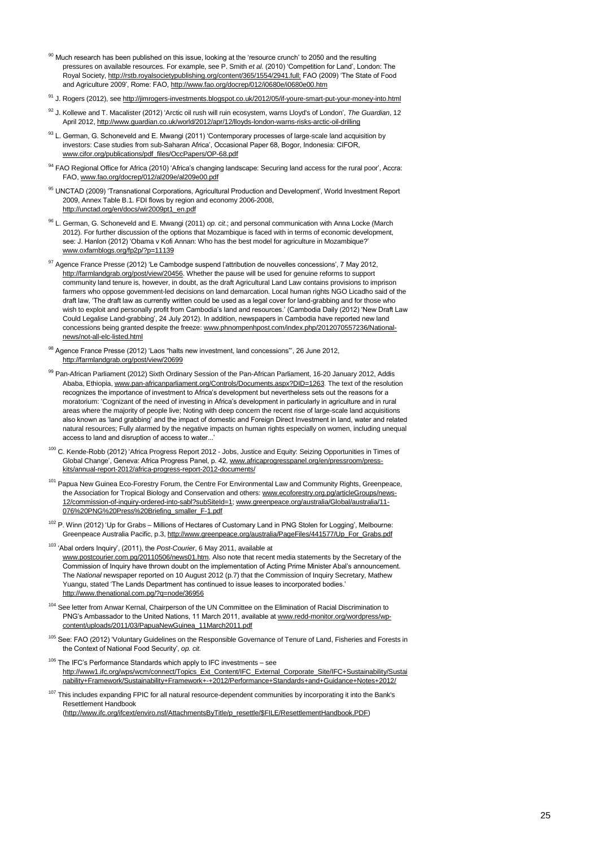- 90 Much research has been published on this issue, looking at the 'resource crunch' to 2050 and the resulting pressures on available resources. For example, see P. Smith *et al.* (2010) "Competition for Land", London: The Royal Society[, http://rstb.royalsocietypublishing.org/content/365/1554/2941.full;](http://rstb.royalsocietypublishing.org/content/365/1554/2941.full) FAO (2009) 'The State of Food and Agriculture 2009", Rome: FAO[, http://www.fao.org/docrep/012/i0680e/i0680e00.htm](http://www.fao.org/docrep/012/i0680e/i0680e00.htm)
- <sup>91</sup> J. Rogers (2012), se[e http://jimrogers-investments.blogspot.co.uk/2012/05/if-youre-smart-put-your-money-into.html](http://jimrogers-investments.blogspot.co.uk/2012/05/if-youre-smart-put-your-money-into.html)
- <sup>92</sup> J. Kollewe and T. Macalister (2012) "Arctic oil rush will ruin ecosystem, warns Lloyd's of London", *The Guardian*, 12 April 2012[, http://www.guardian.co.uk/world/2012/apr/12/lloyds-london-warns-risks-arctic-oil-drilling](http://www.guardian.co.uk/world/2012/apr/12/lloyds-london-warns-risks-arctic-oil-drilling)
- <sup>93</sup> L. German, G. Schoneveld and E. Mwangi (2011) 'Contemporary processes of large-scale land acquisition by investors: Case studies from sub-Saharan Africa", Occasional Paper 68, Bogor, Indonesia: CIFOR, [www.cifor.org/publications/pdf\\_files/OccPapers/OP-68.pdf](http://www.cifor.org/publications/pdf_files/OccPapers/OP-68.pdf)
- 94 FAO Regional Office for Africa (2010) 'Africa's changing landscape: Securing land access for the rural poor', Accra: FAO[, www.fao.org/docrep/012/al209e/al209e00.pdf](http://www.fao.org/docrep/012/al209e/al209e00.pdf)
- 95 UNCTAD (2009) 'Transnational Corporations, Agricultural Production and Development', World Investment Report 2009, Annex Table B.1. FDI flows by region and economy 2006-2008, [http://unctad.org/en/docs/wir2009pt1\\_en.pdf](http://unctad.org/en/docs/wir2009pt1_en.pdf)
- <sup>96</sup> L. German, G. Schoneveld and E. Mwangi (2011) *op. cit*.; and personal communication with Anna Locke (March 2012). For further discussion of the options that Mozambique is faced with in terms of economic development, see: J. Hanlon (2012) "Obama v Kofi Annan: Who has the best model for agriculture in Mozambique?" [www.oxfamblogs.org/fp2p/?p=11139](http://www.oxfamblogs.org/fp2p/?p=11139)
- 97 Agence France Presse (2012) 'Le Cambodge suspend l'attribution de nouvelles concessions', 7 May 2012, [http://farmlandgrab.org/post/view/20456.](http://farmlandgrab.org/post/view/20456) Whether the pause will be used for genuine reforms to support community land tenure is, however, in doubt, as the draft Agricultural Land Law contains provisions to imprison farmers who oppose government-led decisions on land demarcation. Local human rights NGO Licadho said of the draft law, "The draft law as currently written could be used as a legal cover for land-grabbing and for those who wish to exploit and personally profit from Cambodia"s land and resources." (Cambodia Daily (2012) "New Draft Law Could Legalise Land-grabbing", 24 July 2012). In addition, newspapers in Cambodia have reported new land concessions being granted despite the freeze[: www.phnompenhpost.com/index.php/2012070557236/National](http://www.phnompenhpost.com/index.php/2012070557236/National-news/not-all-elc-listed.html)[news/not-all-elc-listed.html](http://www.phnompenhpost.com/index.php/2012070557236/National-news/not-all-elc-listed.html)
- <sup>98</sup> Agence France Presse (2012) "Laos "halts new investment, land concessions"", 26 June 2012, <http://farmlandgrab.org/post/view/20699>
- 99 Pan-African Parliament (2012) Sixth Ordinary Session of the Pan-African Parliament, 16-20 January 2012, Addis Ababa, Ethiopia[, www.pan-africanparliament.org/Controls/Documents.aspx?DID=1263.](http://www.pan-africanparliament.org/Controls/Documents.aspx?DID=1263) The text of the resolution recognizes the importance of investment to Africa's development but nevertheless sets out the reasons for a moratorium: "Cognizant of the need of investing in Africa"s development in particularly in agriculture and in rural areas where the majority of people live; Noting with deep concern the recent rise of large-scale land acquisitions also known as "land grabbing" and the impact of domestic and Foreign Direct Investment in land, water and related natural resources; Fully alarmed by the negative impacts on human rights especially on women, including unequal access to land and disruption of access to water...
- 100 C. Kende-Robb (2012) 'Africa Progress Report 2012 Jobs, Justice and Equity: Seizing Opportunities in Times of Global Change", Geneva: Africa Progress Panel, p. 42[, www.africaprogresspanel.org/en/pressroom/press](http://www.africaprogresspanel.org/en/pressroom/press-kits/annual-report-2012/africa-progress-report-2012-documents/)[kits/annual-report-2012/africa-progress-report-2012-documents/](http://www.africaprogresspanel.org/en/pressroom/press-kits/annual-report-2012/africa-progress-report-2012-documents/)
- <sup>101</sup> Papua New Guinea Eco-Forestry Forum, the Centre For Environmental Law and Community Rights, Greenpeace, the Association for Tropical Biology and Conservation and others[: www.ecoforestry.org.pg/articleGroups/news-](http://www.ecoforestry.org.pg/articleGroups/news-12/commission-of-inquiry-ordered-into-sabl?subSiteId=1)[12/commission-of-inquiry-ordered-into-sabl?subSiteId=1;](http://www.ecoforestry.org.pg/articleGroups/news-12/commission-of-inquiry-ordered-into-sabl?subSiteId=1) [www.greenpeace.org/australia/Global/australia/11-](http://www.greenpeace.org/australia/Global/australia/11-076%20PNG%20Press%20Briefing_smaller_F-1.pdf) [076%20PNG%20Press%20Briefing\\_smaller\\_F-1.pdf](http://www.greenpeace.org/australia/Global/australia/11-076%20PNG%20Press%20Briefing_smaller_F-1.pdf)
- $102$  P. Winn (2012) 'Up for Grabs Millions of Hectares of Customary Land in PNG Stolen for Logging', Melbourne: Greenpeace Australia Pacific, p.3[, http://www.greenpeace.org/australia/PageFiles/441577/Up\\_For\\_Grabs.pdf](http://www.greenpeace.org/australia/PageFiles/441577/Up_For_Grabs.pdf)
- <sup>103</sup> "Abal orders Inquiry", (2011), the *Post-Courier*, 6 May 2011, available at [www.postcourier.com.pg/20110506/news01.htm.](http://www.postcourier.com.pg/20110506/news01.htm) Also note that recent media statements by the Secretary of the Commission of Inquiry have thrown doubt on the implementation of Acting Prime Minister Abal"s announcement. The *National* newspaper reported on 10 August 2012 (p.7) that the Commission of Inquiry Secretary, Mathew Yuangu, stated 'The Lands Department has continued to issue leases to incorporated bodies.' <http://www.thenational.com.pg/?q=node/36956>
- 104 See letter from Anwar Kernal, Chairperson of the UN Committee on the Elimination of Racial Discrimination to PNG's Ambassador to the United Nations, 11 March 2011, available a[t www.redd-monitor.org/wordpress/wp](http://www.redd-monitor.org/wordpress/wp-content/uploads/2011/03/PapuaNewGuinea_11March2011.pdf)[content/uploads/2011/03/PapuaNewGuinea\\_11March2011.pdf](http://www.redd-monitor.org/wordpress/wp-content/uploads/2011/03/PapuaNewGuinea_11March2011.pdf)
- <sup>105</sup> See: FAO (2012) 'Voluntary Guidelines on the Responsible Governance of Tenure of Land, Fisheries and Forests in the Context of National Food Security", *op. cit.*
- <sup>106</sup> The IFC's Performance Standards which apply to IFC investments see [http://www1.ifc.org/wps/wcm/connect/Topics\\_Ext\\_Content/IFC\\_External\\_Corporate\\_Site/IFC+Sustainability/Sustai](http://www1.ifc.org/wps/wcm/connect/Topics_Ext_Content/IFC_External_Corporate_Site/IFC+Sustainability/Sustainability+Framework/Sustainability+Framework+-+2012/Performance+Standards+and+Guidance+Notes+2012/) [nability+Framework/Sustainability+Framework+-+2012/Performance+Standards+and+Guidance+Notes+2012/](http://www1.ifc.org/wps/wcm/connect/Topics_Ext_Content/IFC_External_Corporate_Site/IFC+Sustainability/Sustainability+Framework/Sustainability+Framework+-+2012/Performance+Standards+and+Guidance+Notes+2012/)
- <sup>107</sup> This includes expanding FPIC for all natural resource-dependent communities by incorporating it into the Bank's Resettlement Handbook